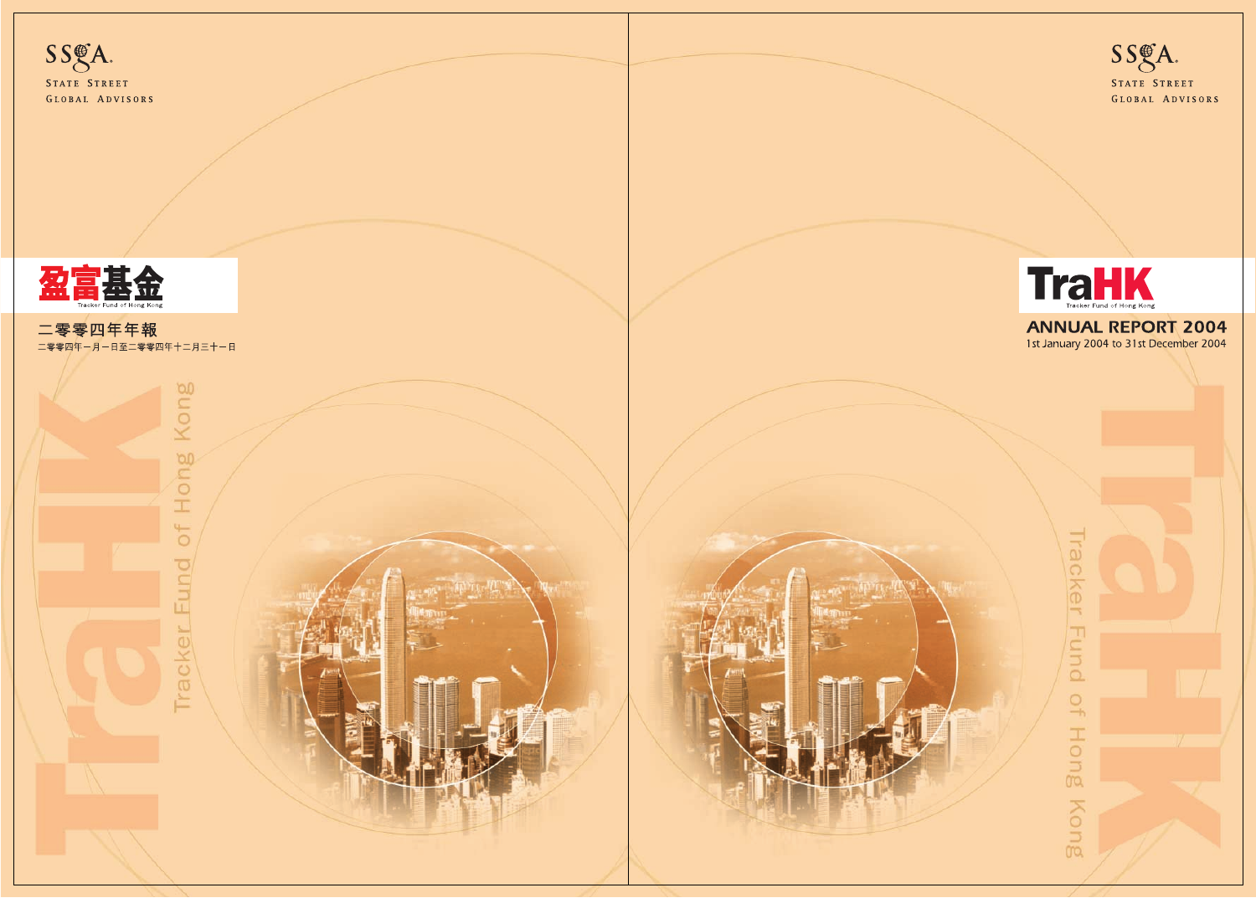



**ANNUAL REPORT 2004** 1st January 2004 to 31st December 2004



Tracker Fund of Hong Kong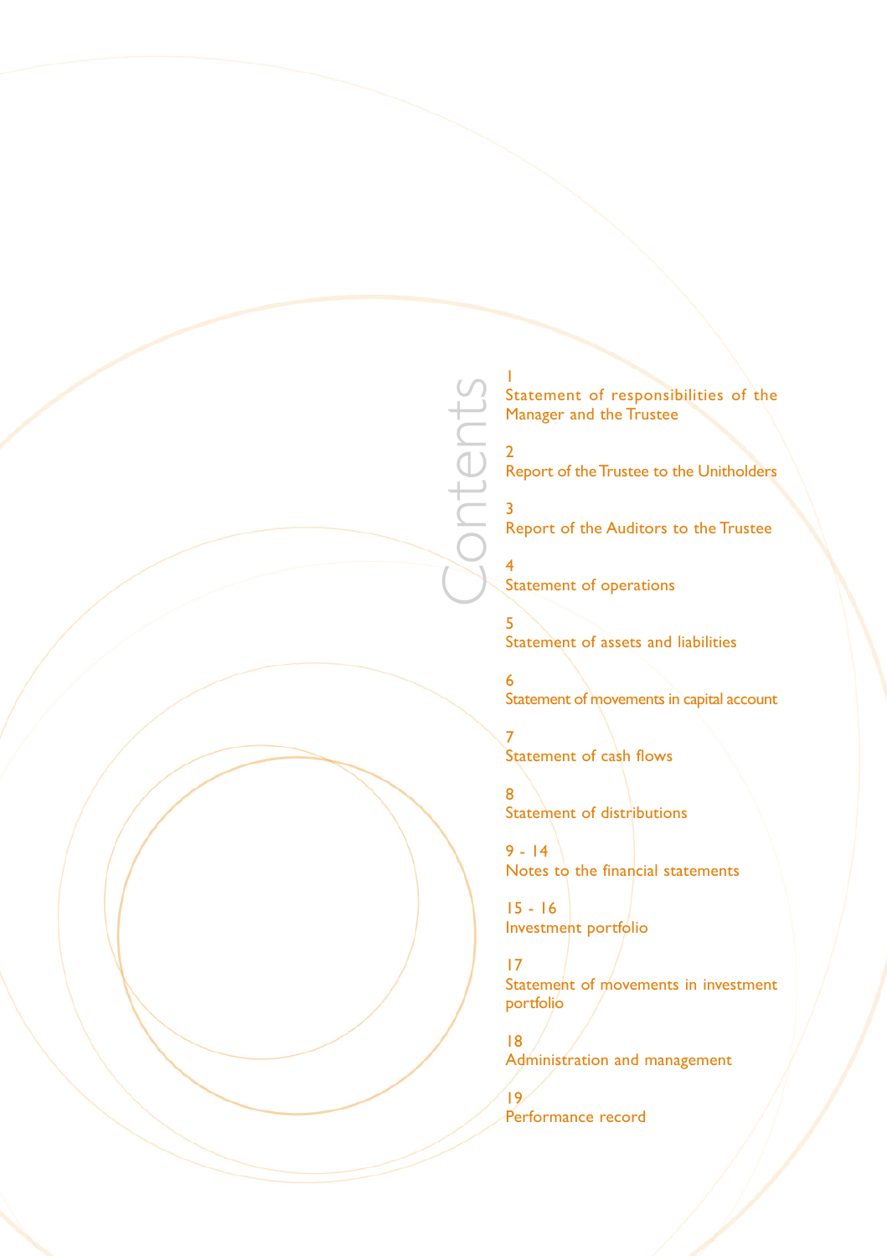1 Statement of responsibilities of the Manager and the Trustee

2 Report of the Trustee to the Unitholders

3 Report of the Auditors to the Trustee

4 Statement of operations

Contents

5 Statement of assets and liabilities

6 Statement of movements in capital account

7 Statement of cash flows

8 Statement of distributions

 $9 - 14$ Notes to the financial statements

15 - 16 Investment portfolio

17 Statement of movements in investment portfolio

18 Administration and management

19<br>Performance record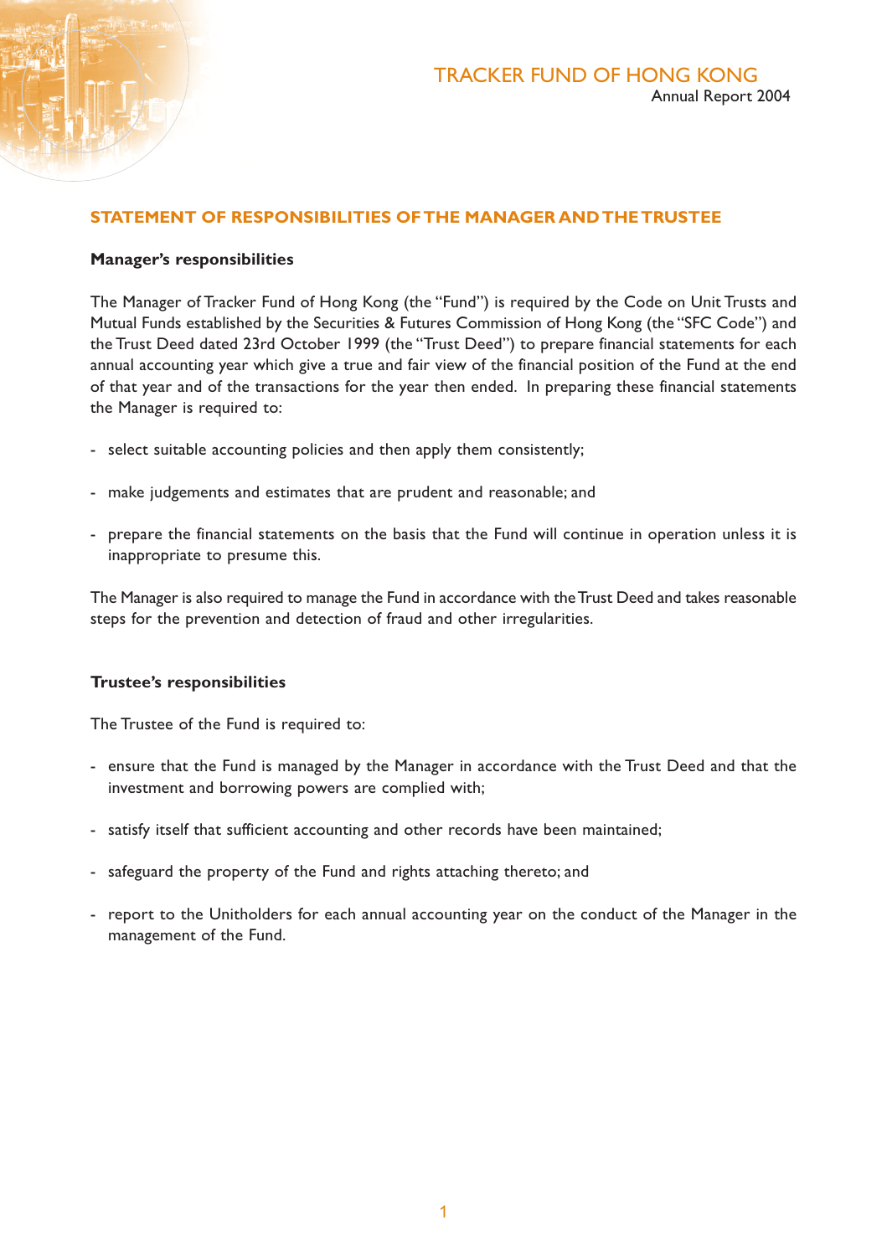### **STATEMENT OF RESPONSIBILITIES OF THE MANAGER AND THE TRUSTEE**

### **Manager's responsibilities**

The Manager of Tracker Fund of Hong Kong (the "Fund") is required by the Code on Unit Trusts and Mutual Funds established by the Securities & Futures Commission of Hong Kong (the "SFC Code") and the Trust Deed dated 23rd October 1999 (the "Trust Deed") to prepare financial statements for each annual accounting year which give a true and fair view of the financial position of the Fund at the end of that year and of the transactions for the year then ended. In preparing these financial statements the Manager is required to:

- select suitable accounting policies and then apply them consistently;
- make judgements and estimates that are prudent and reasonable; and
- prepare the financial statements on the basis that the Fund will continue in operation unless it is inappropriate to presume this.

The Manager is also required to manage the Fund in accordance with the Trust Deed and takes reasonable steps for the prevention and detection of fraud and other irregularities.

### **Trustee's responsibilities**

The Trustee of the Fund is required to:

- ensure that the Fund is managed by the Manager in accordance with the Trust Deed and that the investment and borrowing powers are complied with;
- satisfy itself that sufficient accounting and other records have been maintained;
- safeguard the property of the Fund and rights attaching thereto; and
- report to the Unitholders for each annual accounting year on the conduct of the Manager in the management of the Fund.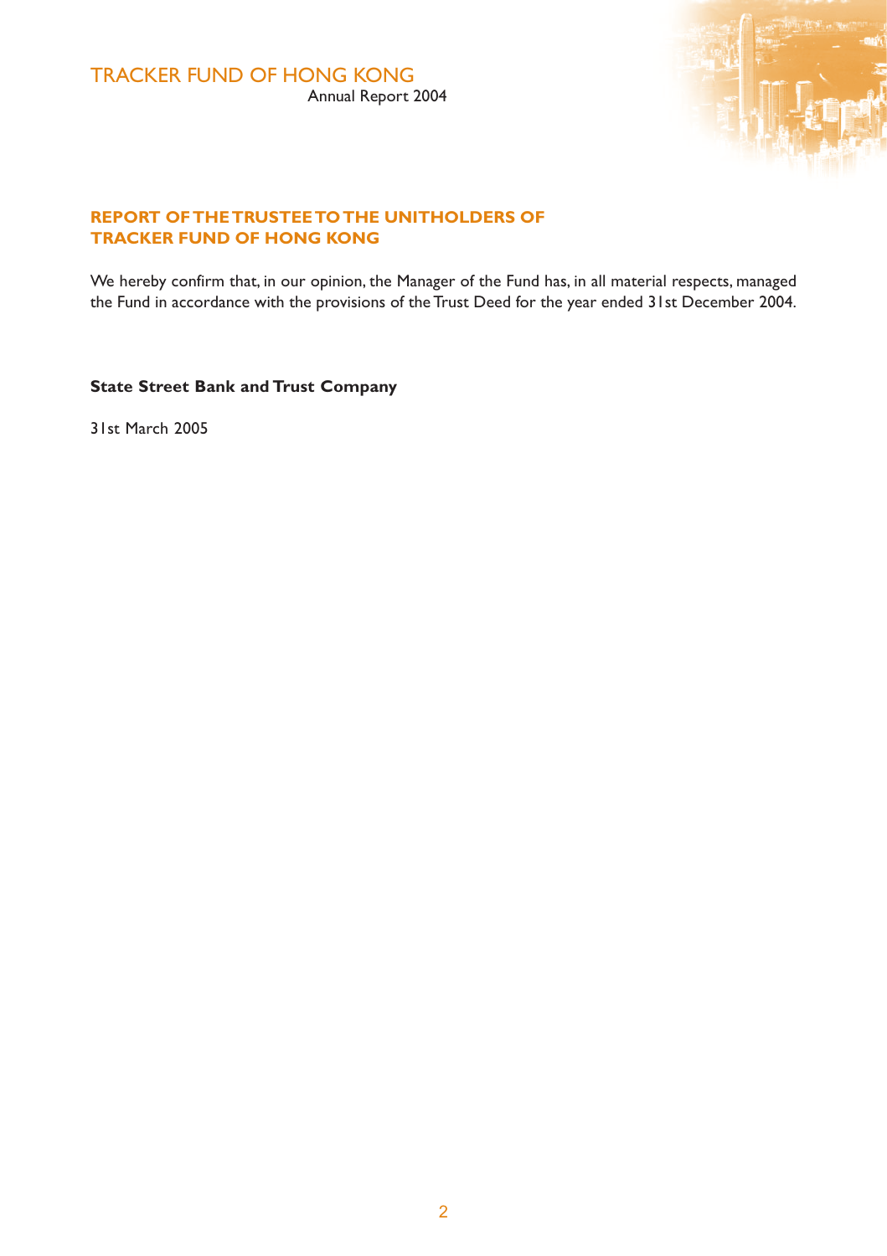

# **REPORT OF THE TRUSTEE TO THE UNITHOLDERS OF TRACKER FUND OF HONG KONG**

We hereby confirm that, in our opinion, the Manager of the Fund has, in all material respects, managed the Fund in accordance with the provisions of the Trust Deed for the year ended 31st December 2004.

**State Street Bank and Trust Company**

31st March 2005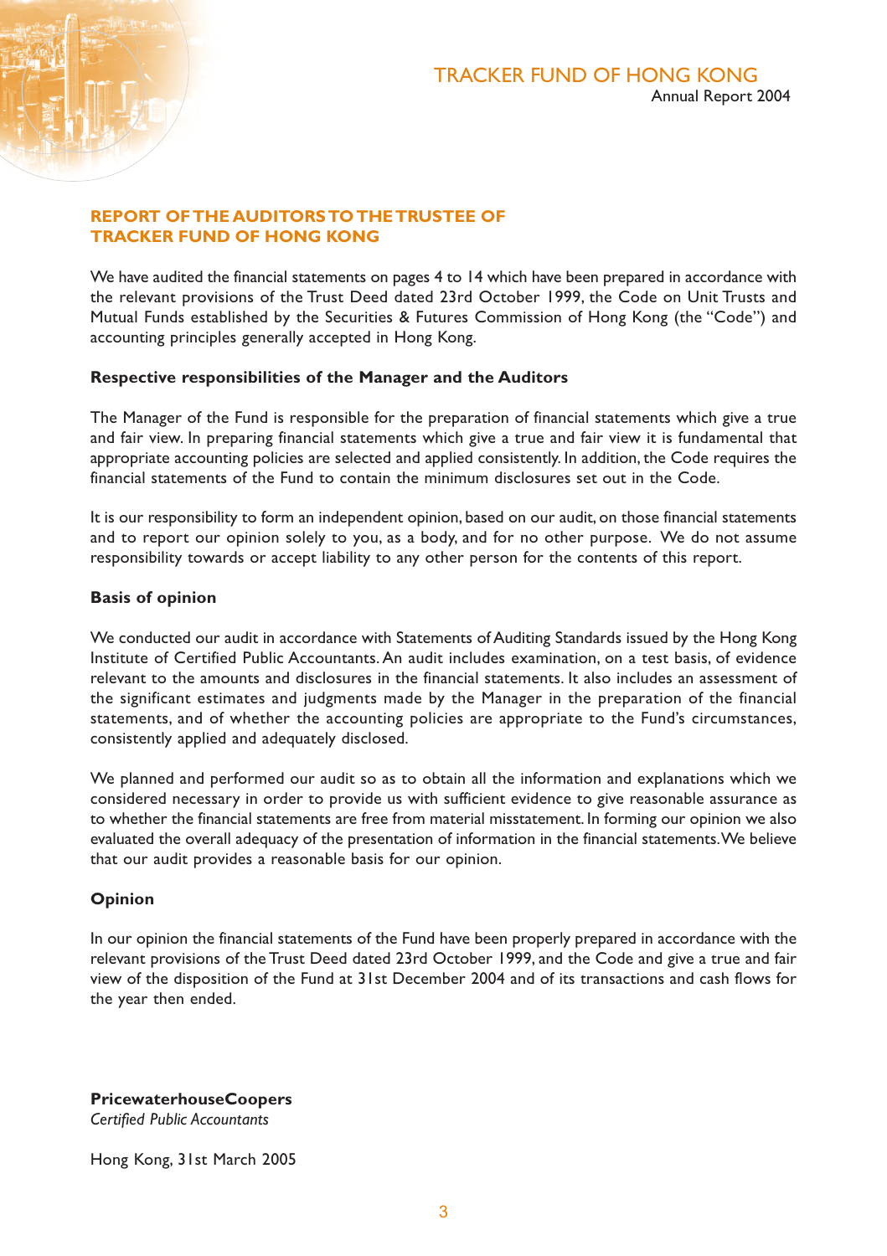### **REPORT OF THE AUDITORS TO THE TRUSTEE OF TRACKER FUND OF HONG KONG**

We have audited the financial statements on pages 4 to 14 which have been prepared in accordance with the relevant provisions of the Trust Deed dated 23rd October 1999, the Code on Unit Trusts and Mutual Funds established by the Securities & Futures Commission of Hong Kong (the "Code") and accounting principles generally accepted in Hong Kong.

### **Respective responsibilities of the Manager and the Auditors**

The Manager of the Fund is responsible for the preparation of financial statements which give a true and fair view. In preparing financial statements which give a true and fair view it is fundamental that appropriate accounting policies are selected and applied consistently. In addition, the Code requires the financial statements of the Fund to contain the minimum disclosures set out in the Code.

It is our responsibility to form an independent opinion, based on our audit, on those financial statements and to report our opinion solely to you, as a body, and for no other purpose. We do not assume responsibility towards or accept liability to any other person for the contents of this report.

### **Basis of opinion**

We conducted our audit in accordance with Statements of Auditing Standards issued by the Hong Kong Institute of Certified Public Accountants. An audit includes examination, on a test basis, of evidence relevant to the amounts and disclosures in the financial statements. It also includes an assessment of the significant estimates and judgments made by the Manager in the preparation of the financial statements, and of whether the accounting policies are appropriate to the Fund's circumstances, consistently applied and adequately disclosed.

We planned and performed our audit so as to obtain all the information and explanations which we considered necessary in order to provide us with sufficient evidence to give reasonable assurance as to whether the financial statements are free from material misstatement. In forming our opinion we also evaluated the overall adequacy of the presentation of information in the financial statements. We believe that our audit provides a reasonable basis for our opinion.

### **Opinion**

In our opinion the financial statements of the Fund have been properly prepared in accordance with the relevant provisions of the Trust Deed dated 23rd October 1999, and the Code and give a true and fair view of the disposition of the Fund at 31st December 2004 and of its transactions and cash flows for the year then ended.

**PricewaterhouseCoopers**

*Certified Public Accountants*

Hong Kong, 31st March 2005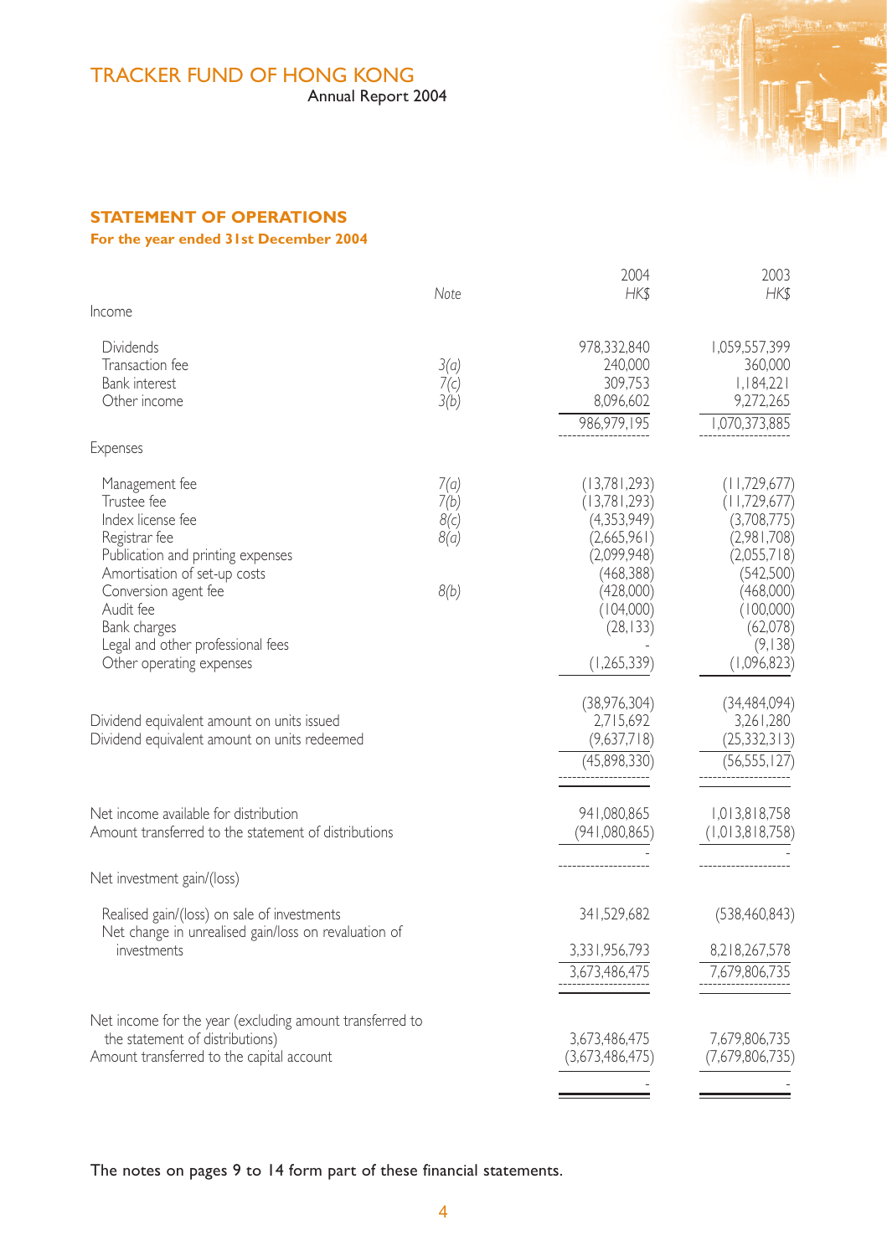# TRACKER FUND OF HONG KONG

Annual Report 2004



# **STATEMENT OF OPERATIONS**

# **For the year ended 31st December 2004**

|                                                                                                                                                                                                                                                                | Note                                 | 2004<br><b>HKS</b>                                                                                                                            | 2003<br><b>HKS</b>                                                                                                                                     |
|----------------------------------------------------------------------------------------------------------------------------------------------------------------------------------------------------------------------------------------------------------------|--------------------------------------|-----------------------------------------------------------------------------------------------------------------------------------------------|--------------------------------------------------------------------------------------------------------------------------------------------------------|
| Income                                                                                                                                                                                                                                                         |                                      |                                                                                                                                               |                                                                                                                                                        |
| <b>Dividends</b><br>Transaction fee<br>Bank interest<br>Other income<br>Expenses                                                                                                                                                                               | 3(a)<br>7(c)<br>3(b)                 | 978,332,840<br>240.000<br>309,753<br>8,096,602<br>986.979.195                                                                                 | 1,059,557,399<br>360.000<br>1,184,221<br>9,272,265<br>1,070,373,885                                                                                    |
| Management fee<br>Trustee fee<br>Index license fee<br>Registrar fee<br>Publication and printing expenses<br>Amortisation of set-up costs<br>Conversion agent fee<br>Audit fee<br>Bank charges<br>Legal and other professional fees<br>Other operating expenses | 7(a)<br>7(b)<br>8(c)<br>8(a)<br>8(b) | (13,781,293)<br>(13,781,293)<br>(4,353,949)<br>(2,665,961)<br>(2,099,948)<br>(468, 388)<br>(428,000)<br>(104,000)<br>(28, 133)<br>(1,265,339) | (11,729,677)<br>(11,729,677)<br>(3,708,775)<br>(2,981,708)<br>(2,055,718)<br>(542,500)<br>(468,000)<br>(100,000)<br>(62,078)<br>(9,138)<br>(1,096,823) |
| Dividend equivalent amount on units issued<br>Dividend equivalent amount on units redeemed                                                                                                                                                                     |                                      | (38,976,304)<br>2,715,692<br>(9,637,718)<br>(45,898,330)                                                                                      | (34, 484, 094)<br>3,261,280<br>(25, 332, 313)<br>(56, 555, 127)                                                                                        |
| Net income available for distribution<br>Amount transferred to the statement of distributions                                                                                                                                                                  |                                      | 941.080.865<br>(941,080,865)                                                                                                                  | 1,013,818,758<br>(1, 013, 818, 758)                                                                                                                    |
| Net investment gain/(loss)                                                                                                                                                                                                                                     |                                      |                                                                                                                                               |                                                                                                                                                        |
| Realised gain/(loss) on sale of investments<br>Net change in unrealised gain/loss on revaluation of<br>investments                                                                                                                                             |                                      | 341,529,682<br>3,331,956,793<br>3,673,486,475                                                                                                 | (538, 460, 843)<br>8,218,267,578<br>7,679,806,735                                                                                                      |
| Net income for the year (excluding amount transferred to<br>the statement of distributions)<br>Amount transferred to the capital account                                                                                                                       |                                      | 3,673,486,475<br>(3,673,486,475)                                                                                                              | 7,679,806,735<br>(7,679,806,735)                                                                                                                       |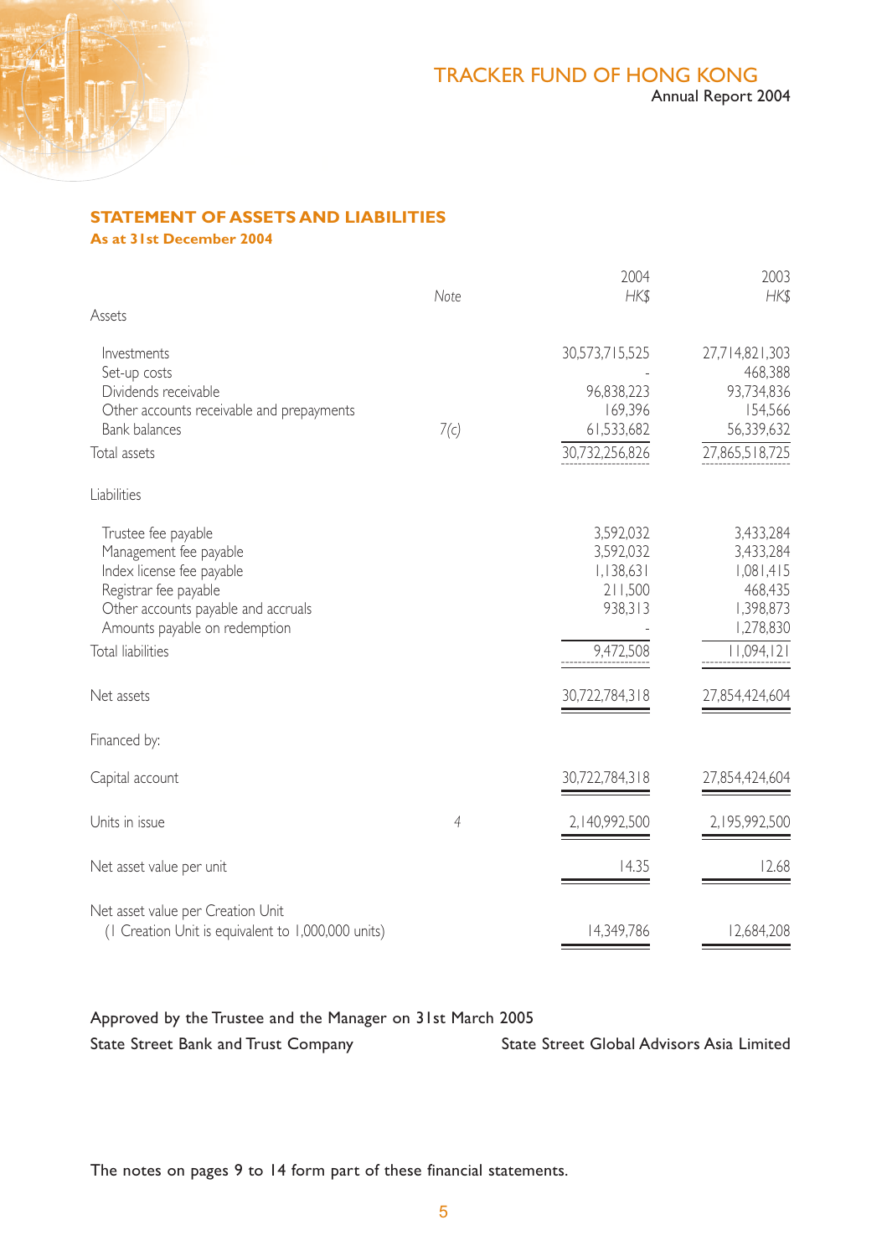

# **STATEMENT OF ASSETS AND LIABILITIES**

**As at 31st December 2004**

|                                                                                                                                                                             |                | 2004                                                                    | 2003                                                                               |
|-----------------------------------------------------------------------------------------------------------------------------------------------------------------------------|----------------|-------------------------------------------------------------------------|------------------------------------------------------------------------------------|
| Assets                                                                                                                                                                      | Note           | <b>HKS</b>                                                              | <b>HKS</b>                                                                         |
| Investments<br>Set-up costs<br>Dividends receivable<br>Other accounts receivable and prepayments<br><b>Bank balances</b><br>Total assets                                    | 7(c)           | 30,573,715,525<br>96,838,223<br>169,396<br>61,533,682<br>30,732,256,826 | 27,714,821,303<br>468,388<br>93,734,836<br>154,566<br>56,339,632<br>27,865,518,725 |
| Liabilities                                                                                                                                                                 |                |                                                                         |                                                                                    |
| Trustee fee payable<br>Management fee payable<br>Index license fee payable<br>Registrar fee payable<br>Other accounts payable and accruals<br>Amounts payable on redemption |                | 3,592,032<br>3,592,032<br>1,138,631<br>211,500<br>938,313               | 3,433,284<br>3,433,284<br>1,081,415<br>468,435<br>1,398,873<br>1,278,830           |
| <b>Total liabilities</b>                                                                                                                                                    |                | 9,472,508                                                               | 11,094,121                                                                         |
| Net assets                                                                                                                                                                  |                | 30,722,784,318                                                          | 27,854,424,604                                                                     |
| Financed by:                                                                                                                                                                |                |                                                                         |                                                                                    |
| Capital account                                                                                                                                                             |                | 30,722,784,318                                                          | 27,854,424,604                                                                     |
| Units in issue                                                                                                                                                              | $\overline{4}$ | 2,140,992,500                                                           | 2,195,992,500                                                                      |
| Net asset value per unit                                                                                                                                                    |                | 14.35                                                                   | 12.68                                                                              |
| Net asset value per Creation Unit<br>(1 Creation Unit is equivalent to 1,000,000 units)                                                                                     |                | 14,349,786                                                              | 12,684,208                                                                         |

Approved by the Trustee and the Manager on 31st March 2005

State Street Bank and Trust Company State Street Global Advisors Asia Limited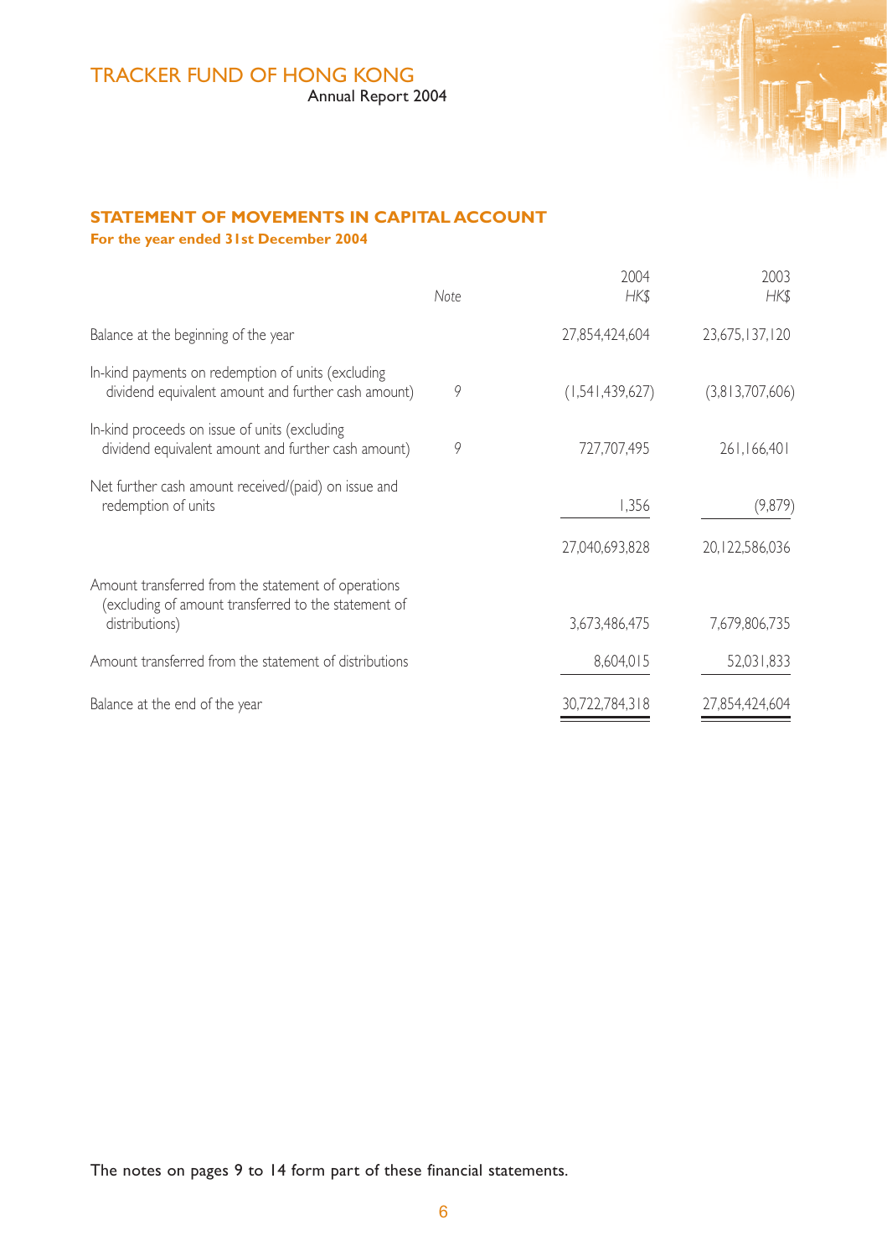# TRACKER FUND OF HONG KONG

Annual Report 2004



# **STATEMENT OF MOVEMENTS IN CAPITAL ACCOUNT**

**For the year ended 31st December 2004**

|                                                                                                                               | Note | 2004<br><b>HKS</b> | 2003<br><b>HKS</b> |
|-------------------------------------------------------------------------------------------------------------------------------|------|--------------------|--------------------|
| Balance at the beginning of the year                                                                                          |      | 27,854,424,604     | 23,675,137,120     |
| In-kind payments on redemption of units (excluding<br>dividend equivalent amount and further cash amount)                     | 9    | (1,541,439,627)    | (3,813,707,606)    |
| In-kind proceeds on issue of units (excluding<br>dividend equivalent amount and further cash amount)                          | 9    | 727.707.495        | 261.166.401        |
| Net further cash amount received/(paid) on issue and<br>redemption of units                                                   |      | 1,356              | (9,879)            |
|                                                                                                                               |      | 27.040.693.828     | 20, 122, 586, 036  |
| Amount transferred from the statement of operations<br>(excluding of amount transferred to the statement of<br>distributions) |      | 3,673,486,475      | 7,679,806,735      |
| Amount transferred from the statement of distributions                                                                        |      | 8,604,015          | 52,031,833         |
| Balance at the end of the year                                                                                                |      | 30,722,784,318     | 27,854,424,604     |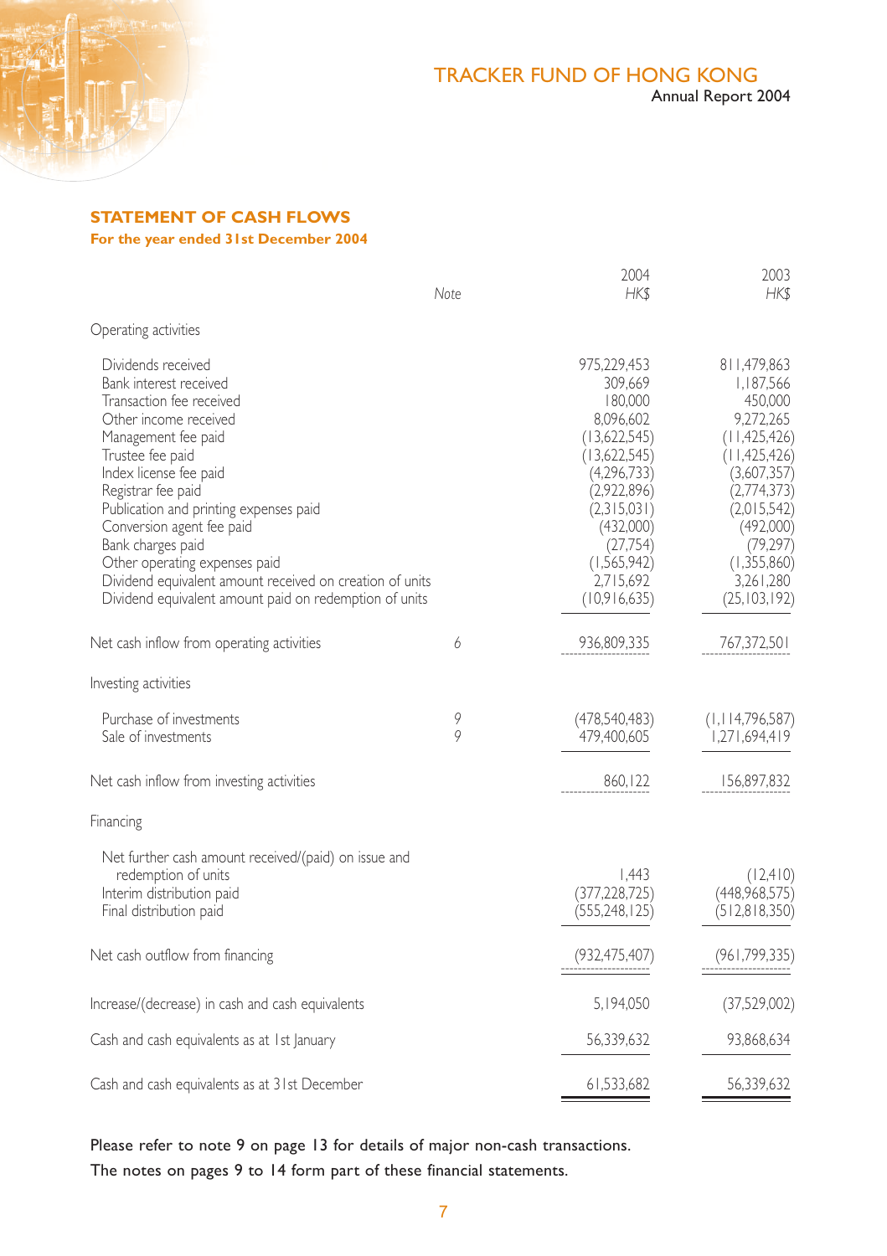

# **STATEMENT OF CASH FLOWS**

**For the year ended 31st December 2004**

|                                                                                                                                                                                                                                                                                                                                                                                                                                                 | Note   | 2004<br>HK\$                                                                                                                                                                                     | 2003<br>HK\$                                                                                                                                                                                              |
|-------------------------------------------------------------------------------------------------------------------------------------------------------------------------------------------------------------------------------------------------------------------------------------------------------------------------------------------------------------------------------------------------------------------------------------------------|--------|--------------------------------------------------------------------------------------------------------------------------------------------------------------------------------------------------|-----------------------------------------------------------------------------------------------------------------------------------------------------------------------------------------------------------|
| Operating activities                                                                                                                                                                                                                                                                                                                                                                                                                            |        |                                                                                                                                                                                                  |                                                                                                                                                                                                           |
| Dividends received<br>Bank interest received<br>Transaction fee received<br>Other income received<br>Management fee paid<br>Trustee fee paid<br>Index license fee paid<br>Registrar fee paid<br>Publication and printing expenses paid<br>Conversion agent fee paid<br>Bank charges paid<br>Other operating expenses paid<br>Dividend equivalent amount received on creation of units<br>Dividend equivalent amount paid on redemption of units |        | 975,229,453<br>309,669<br>180,000<br>8,096,602<br>(13,622,545)<br>(13,622,545)<br>(4,296,733)<br>(2,922,896)<br>(2,315,031)<br>(432,000)<br>(27,754)<br>(1,565,942)<br>2,715,692<br>(10,916,635) | 811,479,863<br>1,187,566<br>450,000<br>9,272,265<br>(11, 425, 426)<br>(11, 425, 426)<br>(3,607,357)<br>(2,774,373)<br>(2,015,542)<br>(492,000)<br>(79, 297)<br>(1,355,860)<br>3,261,280<br>(25, 103, 192) |
| Net cash inflow from operating activities                                                                                                                                                                                                                                                                                                                                                                                                       | 6      | 936,809,335                                                                                                                                                                                      | 767,372,501                                                                                                                                                                                               |
| Investing activities                                                                                                                                                                                                                                                                                                                                                                                                                            |        |                                                                                                                                                                                                  |                                                                                                                                                                                                           |
| Purchase of investments<br>Sale of investments                                                                                                                                                                                                                                                                                                                                                                                                  | 9<br>9 | (478,540,483)<br>479.400.605                                                                                                                                                                     | (1, 114, 796, 587)<br>1,271,694,419                                                                                                                                                                       |
| Net cash inflow from investing activities                                                                                                                                                                                                                                                                                                                                                                                                       |        | 860, 122                                                                                                                                                                                         | 156,897,832                                                                                                                                                                                               |
| Financing                                                                                                                                                                                                                                                                                                                                                                                                                                       |        |                                                                                                                                                                                                  |                                                                                                                                                                                                           |
| Net further cash amount received/(paid) on issue and<br>redemption of units<br>Interim distribution paid<br>Final distribution paid                                                                                                                                                                                                                                                                                                             |        | 1.443<br>(377, 228, 725)<br>(555, 248, 125)                                                                                                                                                      | (12,410)<br>(448,968,575)<br>(512,818,350)                                                                                                                                                                |
| Net cash outflow from financing                                                                                                                                                                                                                                                                                                                                                                                                                 |        | (932, 475, 407)                                                                                                                                                                                  | (961, 799, 335)                                                                                                                                                                                           |
| Increase/(decrease) in cash and cash equivalents                                                                                                                                                                                                                                                                                                                                                                                                |        | 5,194,050                                                                                                                                                                                        | (37,529,002)                                                                                                                                                                                              |
| Cash and cash equivalents as at 1st January                                                                                                                                                                                                                                                                                                                                                                                                     |        | 56,339,632                                                                                                                                                                                       | 93,868,634                                                                                                                                                                                                |
| Cash and cash equivalents as at 31st December                                                                                                                                                                                                                                                                                                                                                                                                   |        | 61,533,682                                                                                                                                                                                       | 56,339,632                                                                                                                                                                                                |

Please refer to note 9 on page 13 for details of major non-cash transactions. The notes on pages 9 to 14 form part of these financial statements.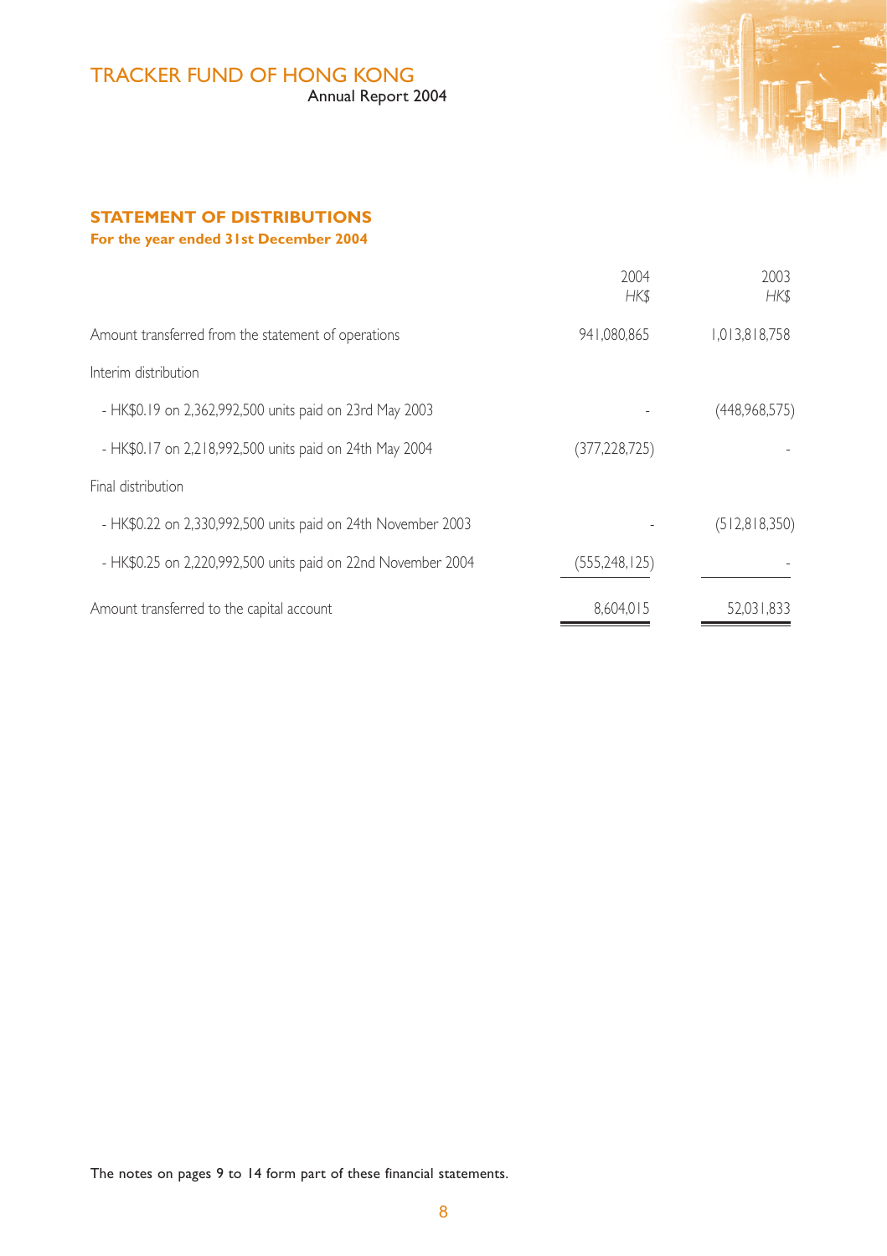# TRACKER FUND OF HONG KONG

Annual Report 2004



# **STATEMENT OF DISTRIBUTIONS For the year ended 31st December 2004**

|                                                              | 2004<br><b>HKS</b> | 2003<br><b>HKS</b> |
|--------------------------------------------------------------|--------------------|--------------------|
| Amount transferred from the statement of operations          | 941.080.865        | 1.013.818.758      |
| Interim distribution                                         |                    |                    |
| - HK\$0.19 on 2,362,992,500 units paid on 23rd May 2003      |                    | (448,968,575)      |
| - HK\$0.17 on 2,218,992,500 units paid on 24th May 2004      | (377, 228, 725)    |                    |
| Final distribution                                           |                    |                    |
| - HK\$0.22 on 2,330,992,500 units paid on 24th November 2003 |                    | (512,818,350)      |
| - HK\$0.25 on 2,220,992,500 units paid on 22nd November 2004 | (555, 248, 125)    |                    |
| Amount transferred to the capital account                    | 8.604.015          | 52.031.833         |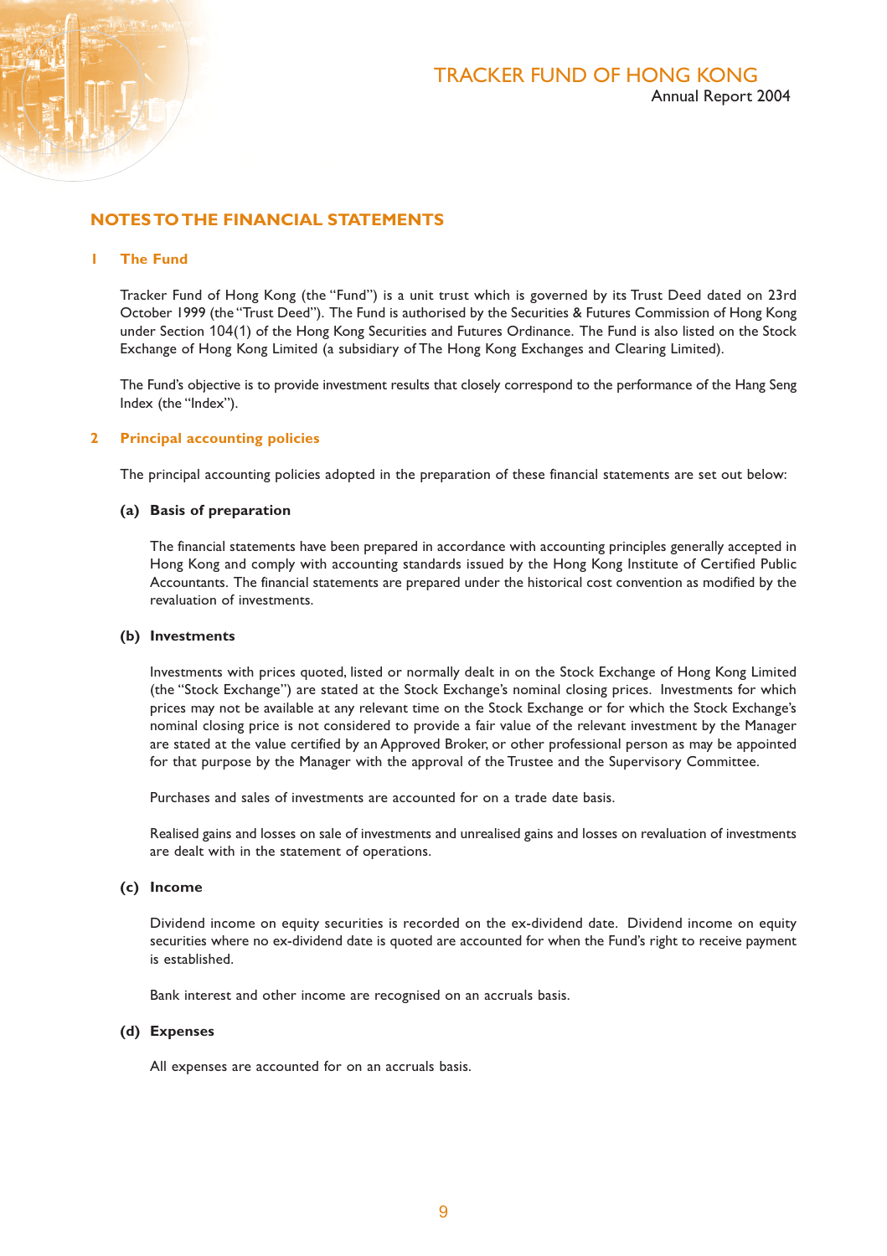

### **NOTES TO THE FINANCIAL STATEMENTS**

#### **1 The Fund**

Tracker Fund of Hong Kong (the "Fund") is a unit trust which is governed by its Trust Deed dated on 23rd October 1999 (the "Trust Deed"). The Fund is authorised by the Securities & Futures Commission of Hong Kong under Section 104(1) of the Hong Kong Securities and Futures Ordinance. The Fund is also listed on the Stock Exchange of Hong Kong Limited (a subsidiary of The Hong Kong Exchanges and Clearing Limited).

The Fund's objective is to provide investment results that closely correspond to the performance of the Hang Seng Index (the "Index").

#### **2 Principal accounting policies**

The principal accounting policies adopted in the preparation of these financial statements are set out below:

#### **(a) Basis of preparation**

The financial statements have been prepared in accordance with accounting principles generally accepted in Hong Kong and comply with accounting standards issued by the Hong Kong Institute of Certified Public Accountants. The financial statements are prepared under the historical cost convention as modified by the revaluation of investments.

#### **(b) Investments**

Investments with prices quoted, listed or normally dealt in on the Stock Exchange of Hong Kong Limited (the "Stock Exchange") are stated at the Stock Exchange's nominal closing prices. Investments for which prices may not be available at any relevant time on the Stock Exchange or for which the Stock Exchange's nominal closing price is not considered to provide a fair value of the relevant investment by the Manager are stated at the value certified by an Approved Broker, or other professional person as may be appointed for that purpose by the Manager with the approval of the Trustee and the Supervisory Committee.

Purchases and sales of investments are accounted for on a trade date basis.

Realised gains and losses on sale of investments and unrealised gains and losses on revaluation of investments are dealt with in the statement of operations.

#### **(c) Income**

Dividend income on equity securities is recorded on the ex-dividend date. Dividend income on equity securities where no ex-dividend date is quoted are accounted for when the Fund's right to receive payment is established.

Bank interest and other income are recognised on an accruals basis.

#### **(d) Expenses**

All expenses are accounted for on an accruals basis.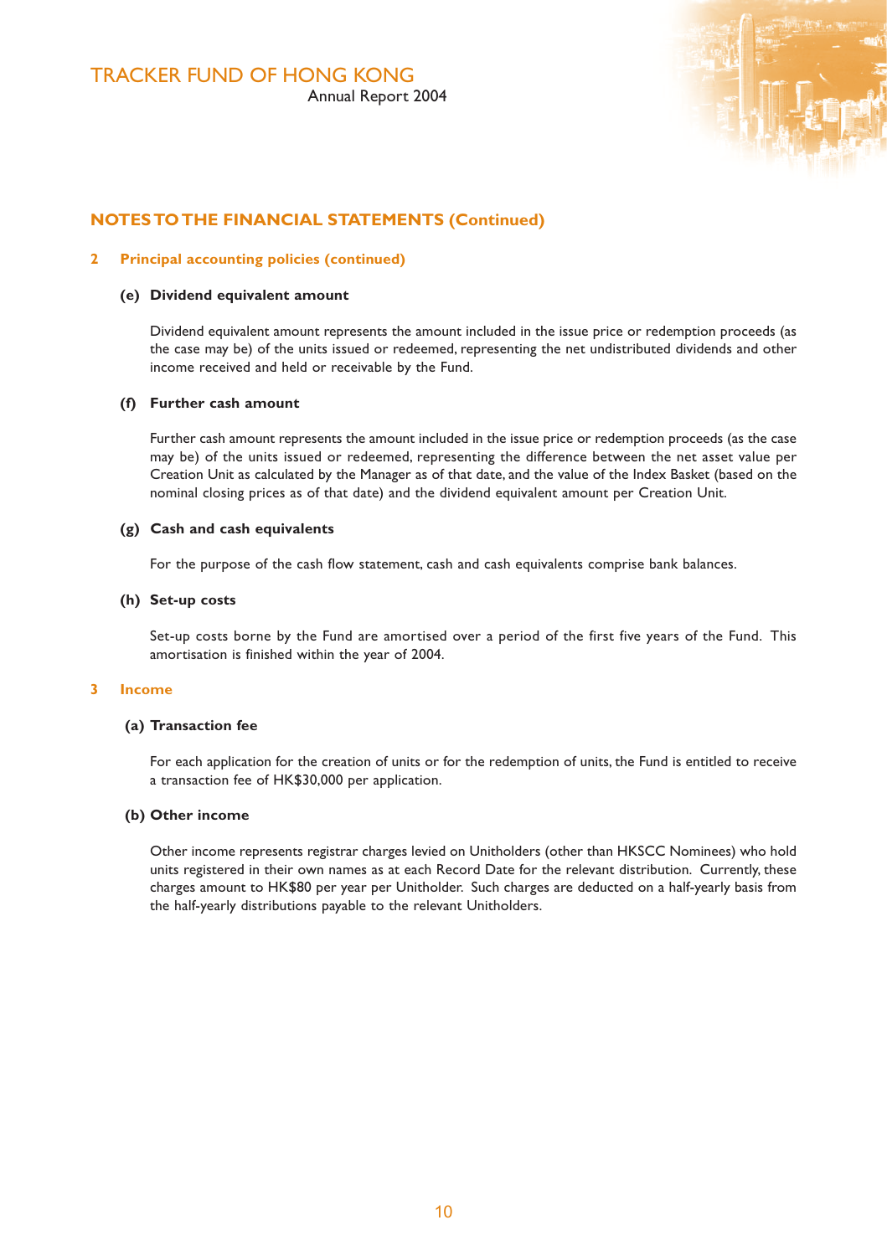

### **NOTES TO THE FINANCIAL STATEMENTS (Continued)**

#### **2 Principal accounting policies (continued)**

#### **(e) Dividend equivalent amount**

Dividend equivalent amount represents the amount included in the issue price or redemption proceeds (as the case may be) of the units issued or redeemed, representing the net undistributed dividends and other income received and held or receivable by the Fund.

#### **(f) Further cash amount**

Further cash amount represents the amount included in the issue price or redemption proceeds (as the case may be) of the units issued or redeemed, representing the difference between the net asset value per Creation Unit as calculated by the Manager as of that date, and the value of the Index Basket (based on the nominal closing prices as of that date) and the dividend equivalent amount per Creation Unit.

#### **(g) Cash and cash equivalents**

For the purpose of the cash flow statement, cash and cash equivalents comprise bank balances.

#### **(h) Set-up costs**

Set-up costs borne by the Fund are amortised over a period of the first five years of the Fund. This amortisation is finished within the year of 2004.

#### **3 Income**

#### **(a) Transaction fee**

For each application for the creation of units or for the redemption of units, the Fund is entitled to receive a transaction fee of HK\$30,000 per application.

#### **(b) Other income**

Other income represents registrar charges levied on Unitholders (other than HKSCC Nominees) who hold units registered in their own names as at each Record Date for the relevant distribution. Currently, these charges amount to HK\$80 per year per Unitholder. Such charges are deducted on a half-yearly basis from the half-yearly distributions payable to the relevant Unitholders.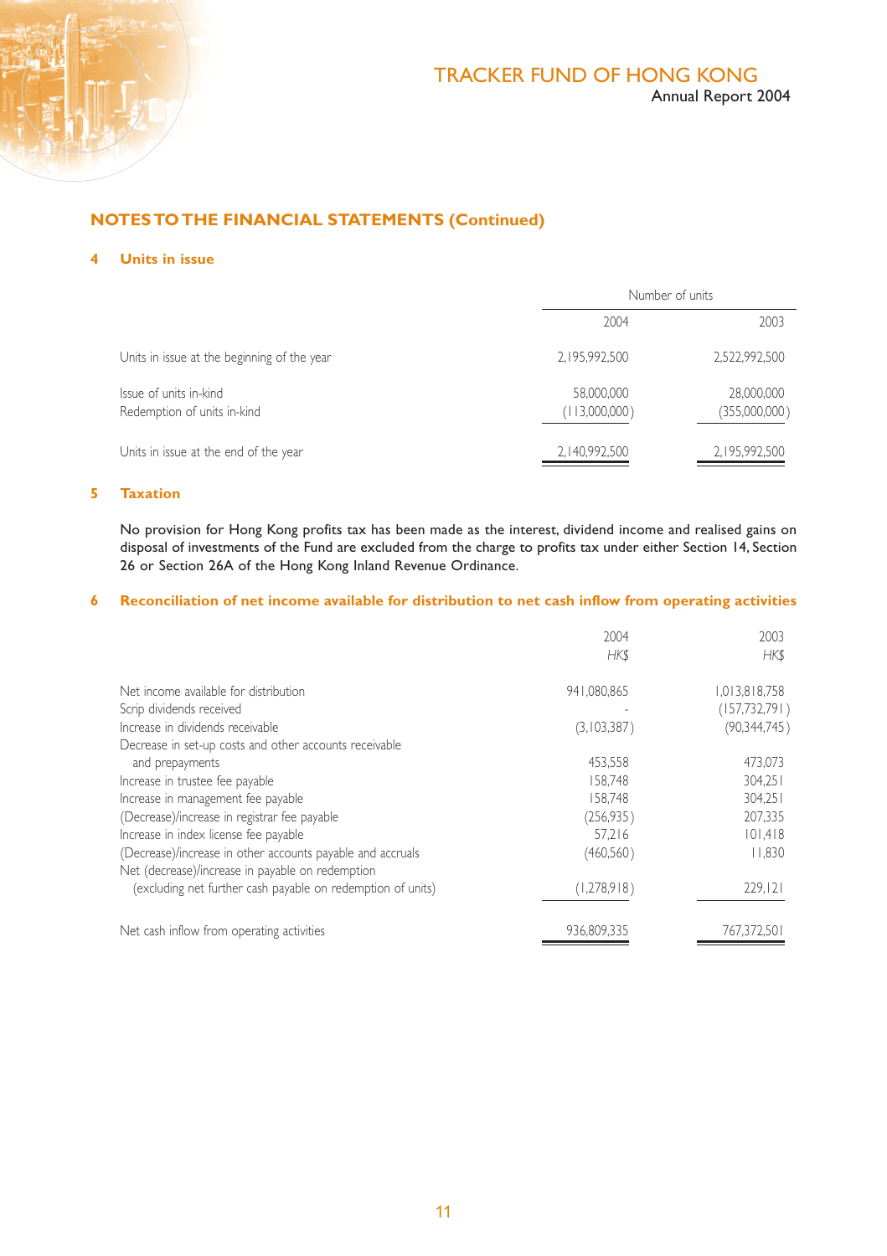

# **NOTES TO THE FINANCIAL STATEMENTS (Continued)**

#### **4 Units in issue**

|                                                       |                             | Number of units             |  |
|-------------------------------------------------------|-----------------------------|-----------------------------|--|
|                                                       | 2004                        | 2003                        |  |
| Units in issue at the beginning of the year           | 2.195.992.500               | 2.522.992.500               |  |
| Issue of units in-kind<br>Redemption of units in-kind | 58.000.000<br>(113,000,000) | 28,000,000<br>(355,000,000) |  |
| Units in issue at the end of the year                 | 2, 140, 992, 500            | 2,195,992,500               |  |

#### **5 Taxation**

No provision for Hong Kong profits tax has been made as the interest, dividend income and realised gains on disposal of investments of the Fund are excluded from the charge to profits tax under either Section 14, Section 26 or Section 26A of the Hong Kong Inland Revenue Ordinance.

#### **6 Reconciliation of net income available for distribution to net cash inflow from operating activities**

|                                                             | 2004<br>HK\$ | 2003<br><b>HKS</b> |
|-------------------------------------------------------------|--------------|--------------------|
| Net income available for distribution                       | 941.080.865  | 1,013,818,758      |
| Scrip dividends received                                    |              | (157, 732, 791)    |
| Increase in dividends receivable                            | (3,103,387)  | (90, 344, 745)     |
| Decrease in set-up costs and other accounts receivable      |              |                    |
| and prepayments                                             | 453.558      | 473.073            |
| Increase in trustee fee payable                             | 158.748      | 304.251            |
| Increase in management fee payable                          | 158.748      | 304.251            |
| (Decrease)/increase in registrar fee payable                | (256, 935)   | 207.335            |
| Increase in index license fee payable                       | 57.216       | 101,418            |
| (Decrease)/increase in other accounts payable and accruals  | (460, 560)   | 1.830              |
| Net (decrease)/increase in payable on redemption            |              |                    |
| (excluding net further cash payable on redemption of units) | (1,278,918)  | 229,121            |
| Net cash inflow from operating activities                   | 936.809.335  | 767.372.501        |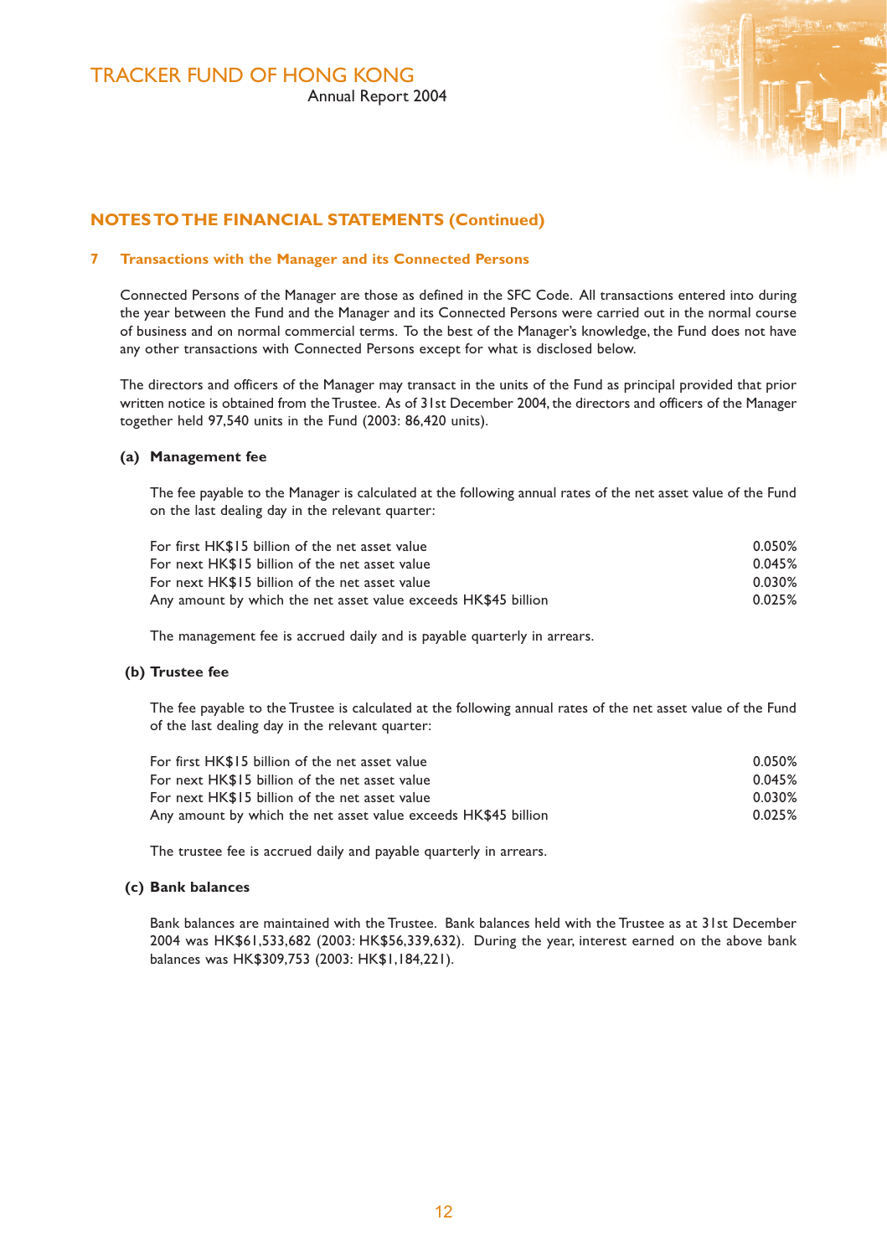

# **NOTES TO THE FINANCIAL STATEMENTS (Continued)**

#### **7 Transactions with the Manager and its Connected Persons**

Connected Persons of the Manager are those as defined in the SFC Code. All transactions entered into during the year between the Fund and the Manager and its Connected Persons were carried out in the normal course of business and on normal commercial terms. To the best of the Manager's knowledge, the Fund does not have any other transactions with Connected Persons except for what is disclosed below.

The directors and officers of the Manager may transact in the units of the Fund as principal provided that prior written notice is obtained from the Trustee. As of 31st December 2004, the directors and officers of the Manager together held 97,540 units in the Fund (2003: 86,420 units).

#### **(a) Management fee**

The fee payable to the Manager is calculated at the following annual rates of the net asset value of the Fund on the last dealing day in the relevant quarter:

| For first HK\$15 billion of the net asset value                | 0.050% |
|----------------------------------------------------------------|--------|
| For next HK\$15 billion of the net asset value                 | 0.045% |
| For next HK\$15 billion of the net asset value                 | 0.030% |
| Any amount by which the net asset value exceeds HK\$45 billion | 0.025% |

The management fee is accrued daily and is payable quarterly in arrears.

#### **(b) Trustee fee**

The fee payable to the Trustee is calculated at the following annual rates of the net asset value of the Fund of the last dealing day in the relevant quarter:

| For first HK\$15 billion of the net asset value                | 0.050% |
|----------------------------------------------------------------|--------|
| For next HK\$15 billion of the net asset value                 | 0.045% |
| For next HK\$15 billion of the net asset value                 | 0.030% |
| Any amount by which the net asset value exceeds HK\$45 billion | 0.025% |

The trustee fee is accrued daily and payable quarterly in arrears.

#### **(c) Bank balances**

Bank balances are maintained with the Trustee. Bank balances held with the Trustee as at 31st December 2004 was HK\$61,533,682 (2003: HK\$56,339,632). During the year, interest earned on the above bank balances was HK\$309,753 (2003: HK\$1,184,221).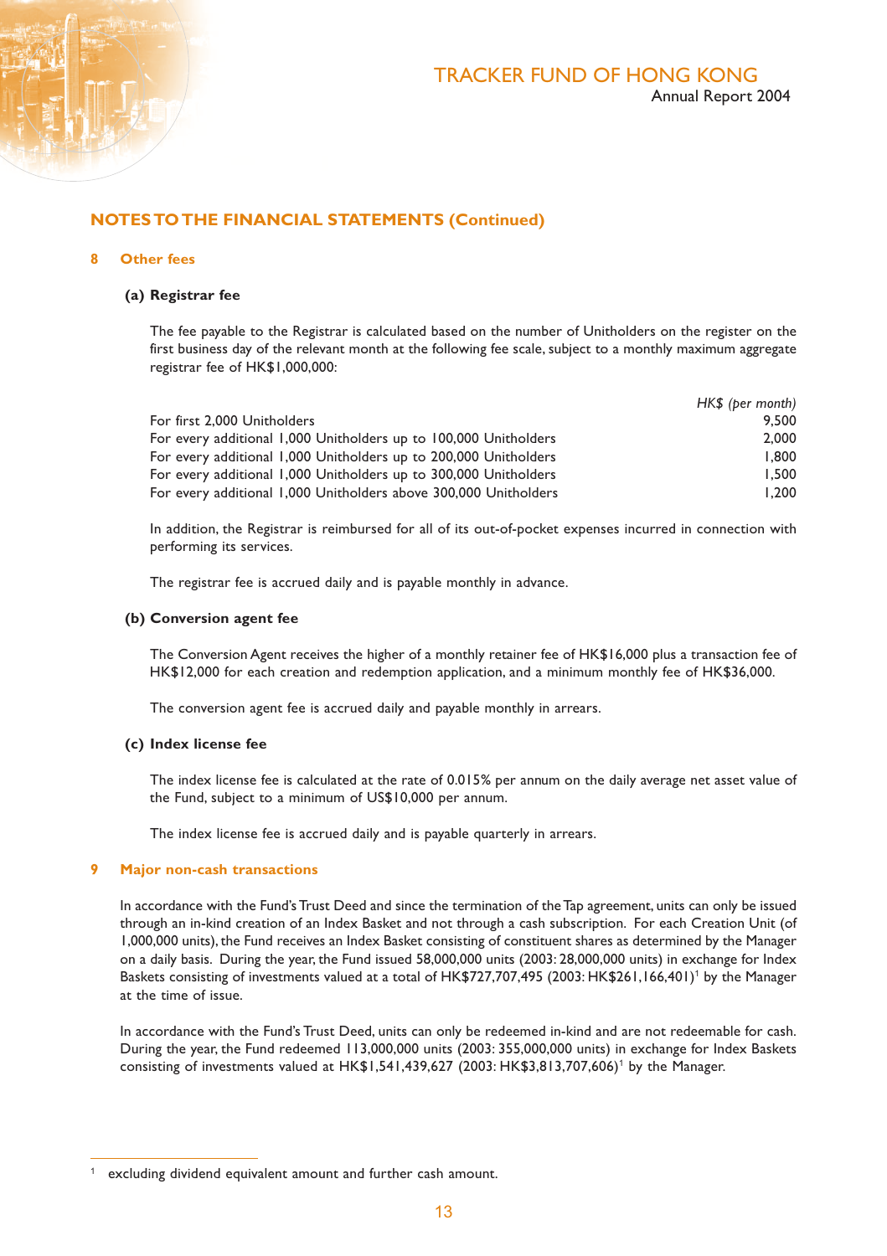# **NOTES TO THE FINANCIAL STATEMENTS (Continued)**

#### **8 Other fees**

#### **(a) Registrar fee**

The fee payable to the Registrar is calculated based on the number of Unitholders on the register on the first business day of the relevant month at the following fee scale, subject to a monthly maximum aggregate registrar fee of HK\$1,000,000:

|                                                                  | HK\$ (ber month) |
|------------------------------------------------------------------|------------------|
| For first 2,000 Unitholders                                      | 9.500            |
| For every additional 1,000 Unitholders up to 100,000 Unitholders | 2.000            |
| For every additional 1,000 Unitholders up to 200,000 Unitholders | 1.800            |
| For every additional 1,000 Unitholders up to 300,000 Unitholders | 1.500            |
| For every additional 1,000 Unitholders above 300,000 Unitholders | 1.200            |

In addition, the Registrar is reimbursed for all of its out-of-pocket expenses incurred in connection with performing its services.

The registrar fee is accrued daily and is payable monthly in advance.

#### **(b) Conversion agent fee**

The Conversion Agent receives the higher of a monthly retainer fee of HK\$16,000 plus a transaction fee of HK\$12,000 for each creation and redemption application, and a minimum monthly fee of HK\$36,000.

The conversion agent fee is accrued daily and payable monthly in arrears.

#### **(c) Index license fee**

The index license fee is calculated at the rate of 0.015% per annum on the daily average net asset value of the Fund, subject to a minimum of US\$10,000 per annum.

The index license fee is accrued daily and is payable quarterly in arrears.

#### **9 Major non-cash transactions**

In accordance with the Fund's Trust Deed and since the termination of the Tap agreement, units can only be issued through an in-kind creation of an Index Basket and not through a cash subscription. For each Creation Unit (of 1,000,000 units), the Fund receives an Index Basket consisting of constituent shares as determined by the Manager on a daily basis. During the year, the Fund issued 58,000,000 units (2003: 28,000,000 units) in exchange for Index Baskets consisting of investments valued at a total of HK\$727,707,495 (2003: HK\$261,166,401)<sup>1</sup> by the Manager at the time of issue.

In accordance with the Fund's Trust Deed, units can only be redeemed in-kind and are not redeemable for cash. During the year, the Fund redeemed 113,000,000 units (2003: 355,000,000 units) in exchange for Index Baskets consisting of investments valued at HK\$1,541,439,627 (2003: HK\$3,813,707,606)<sup>1</sup> by the Manager.

excluding dividend equivalent amount and further cash amount.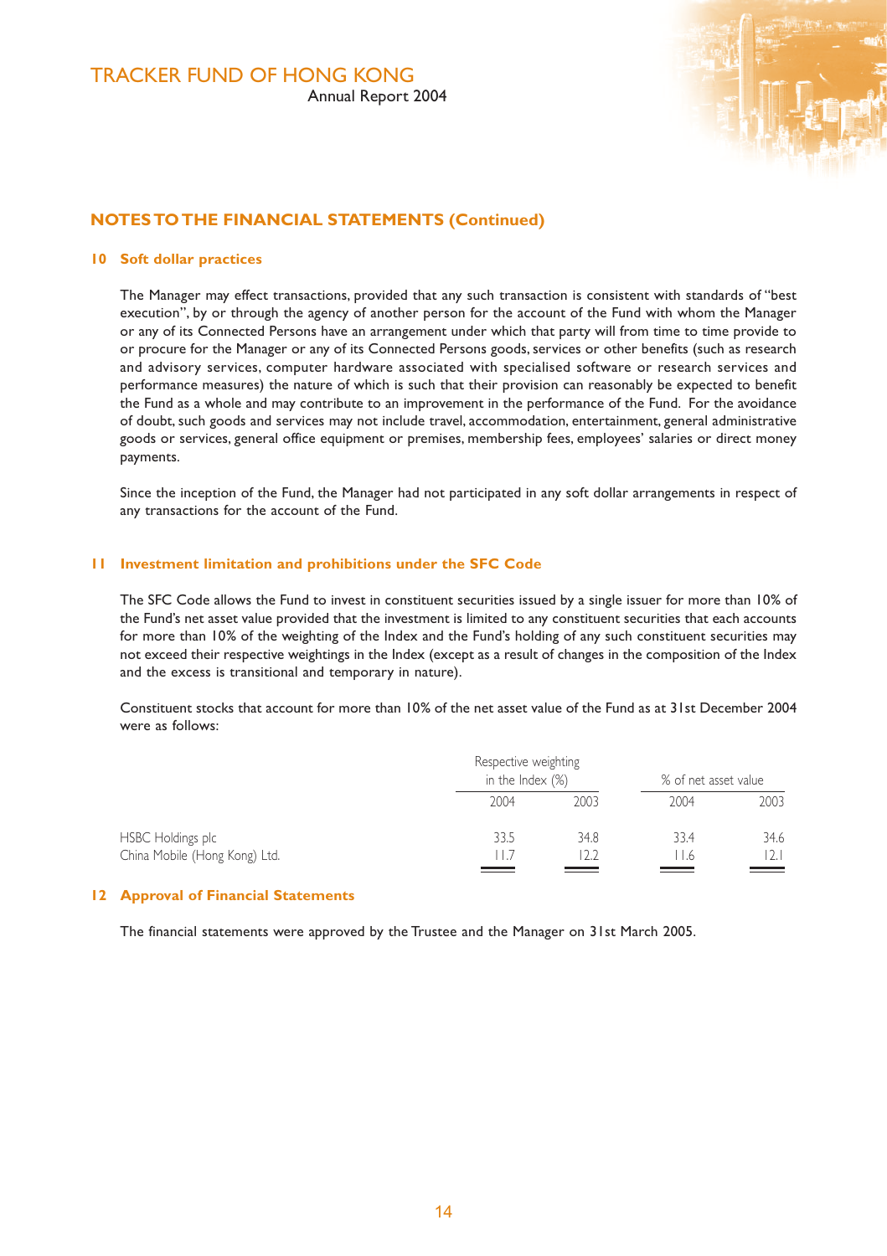

### **NOTES TO THE FINANCIAL STATEMENTS (Continued)**

#### **10 Soft dollar practices**

The Manager may effect transactions, provided that any such transaction is consistent with standards of "best execution", by or through the agency of another person for the account of the Fund with whom the Manager or any of its Connected Persons have an arrangement under which that party will from time to time provide to or procure for the Manager or any of its Connected Persons goods, services or other benefits (such as research and advisory services, computer hardware associated with specialised software or research services and performance measures) the nature of which is such that their provision can reasonably be expected to benefit the Fund as a whole and may contribute to an improvement in the performance of the Fund. For the avoidance of doubt, such goods and services may not include travel, accommodation, entertainment, general administrative goods or services, general office equipment or premises, membership fees, employees' salaries or direct money payments.

Since the inception of the Fund, the Manager had not participated in any soft dollar arrangements in respect of any transactions for the account of the Fund.

#### **11 Investment limitation and prohibitions under the SFC Code**

The SFC Code allows the Fund to invest in constituent securities issued by a single issuer for more than 10% of the Fund's net asset value provided that the investment is limited to any constituent securities that each accounts for more than 10% of the weighting of the Index and the Fund's holding of any such constituent securities may not exceed their respective weightings in the Index (except as a result of changes in the composition of the Index and the excess is transitional and temporary in nature).

Constituent stocks that account for more than 10% of the net asset value of the Fund as at 31st December 2004 were as follows:

| Respective weighting<br>in the Index (%) |      | % of net asset value |      |
|------------------------------------------|------|----------------------|------|
| 2004                                     | 2003 | 2004                 | 2003 |
| 33.5                                     | 34.8 | 33.4                 | 34.6 |
| 11.7                                     | 12.2 | 11.6                 |      |
|                                          |      |                      |      |

#### **12 Approval of Financial Statements**

The financial statements were approved by the Trustee and the Manager on 31st March 2005.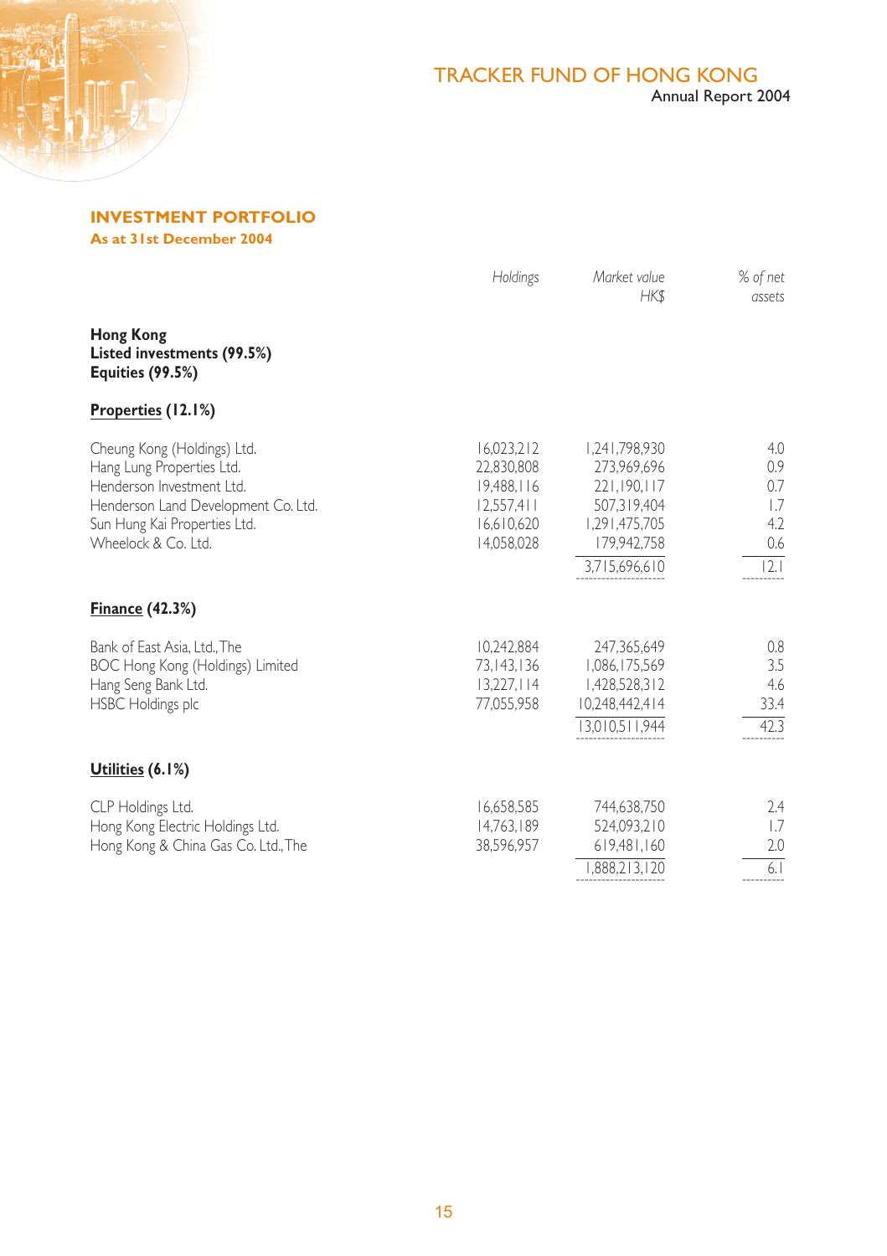

**INVESTMENT PORTFOLIO As at 31st December 2004**

|                                                                                                                                                                                     | Holdings                                                                         | Market value<br>HK\$                                                                                        | % of net<br>assets                             |
|-------------------------------------------------------------------------------------------------------------------------------------------------------------------------------------|----------------------------------------------------------------------------------|-------------------------------------------------------------------------------------------------------------|------------------------------------------------|
| <b>Hong Kong</b><br>Listed investments (99.5%)<br><b>Equities (99.5%)</b>                                                                                                           |                                                                                  |                                                                                                             |                                                |
| Properties (12.1%)                                                                                                                                                                  |                                                                                  |                                                                                                             |                                                |
| Cheung Kong (Holdings) Ltd.<br>Hang Lung Properties Ltd.<br>Henderson Investment Ltd.<br>Henderson Land Development Co. Ltd.<br>Sun Hung Kai Properties Ltd.<br>Wheelock & Co. Ltd. | 16.023.212<br>22.830.808<br>19,488,116<br>12,557,411<br>16,610,620<br>14,058,028 | 1,241,798,930<br>273.969.696<br>221,190,117<br>507,319,404<br>1,291,475,705<br>179,942,758<br>3,715,696,610 | 4.0<br>0.9<br>0.7<br>1.7<br>4.2<br>0.6<br> 2.1 |
| <b>Finance (42.3%)</b>                                                                                                                                                              |                                                                                  |                                                                                                             |                                                |
| Bank of East Asia, Ltd., The<br>BOC Hong Kong (Holdings) Limited<br>Hang Seng Bank Ltd.<br><b>HSBC Holdings plc</b>                                                                 | 10.242.884<br>73.143.136<br>13.227.114<br>77,055,958                             | 247,365,649<br>1,086,175,569<br>1,428,528,312<br>10,248,442,414<br>13,010,511,944                           | 0.8<br>3.5<br>4.6<br>33.4<br>42.3              |
| Utilities (6.1%)                                                                                                                                                                    |                                                                                  |                                                                                                             |                                                |
| CLP Holdings Ltd.<br>Hong Kong Electric Holdings Ltd.<br>Hong Kong & China Gas Co. Ltd., The                                                                                        | 16,658,585<br>14,763,189<br>38,596,957                                           | 744,638,750<br>524,093,210<br>619,481,160<br>1,888,213,120                                                  | 2.4<br>1.7<br>2.0<br>6.1                       |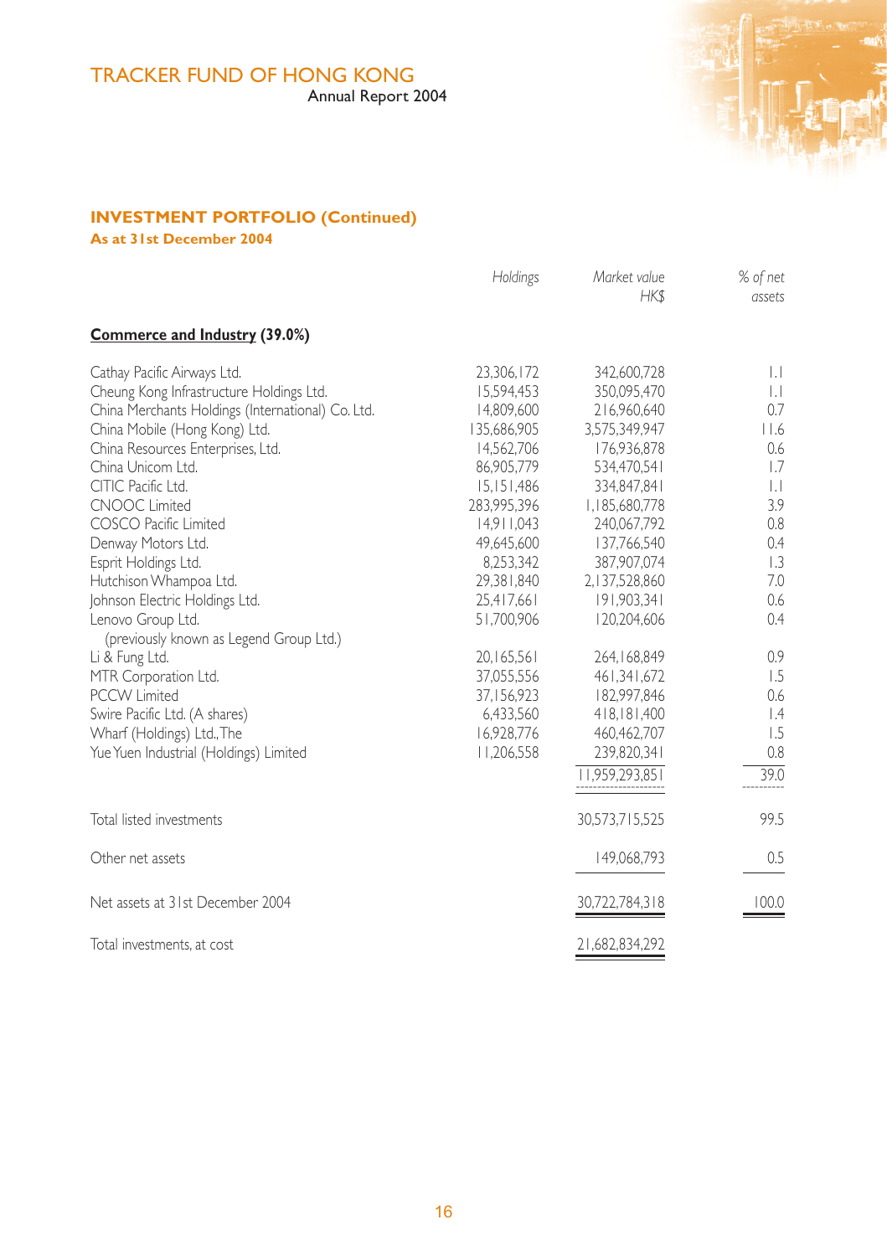# TRACKER FUND OF HONG KONG

Annual Report 2004



# **INVESTMENT PORTFOLIO (Continued)**

**As at 31st December 2004**

|                                                                                                                                                                                                                                                                                                                                                                                                                                                                                                                                                                                                                                              | Holdings                                                                                                                                                                                                                                                                             | Market value<br>HK\$                                                                                                                                                                                                                                                                                           | % of net<br>assets                                                                                                                                                         |
|----------------------------------------------------------------------------------------------------------------------------------------------------------------------------------------------------------------------------------------------------------------------------------------------------------------------------------------------------------------------------------------------------------------------------------------------------------------------------------------------------------------------------------------------------------------------------------------------------------------------------------------------|--------------------------------------------------------------------------------------------------------------------------------------------------------------------------------------------------------------------------------------------------------------------------------------|----------------------------------------------------------------------------------------------------------------------------------------------------------------------------------------------------------------------------------------------------------------------------------------------------------------|----------------------------------------------------------------------------------------------------------------------------------------------------------------------------|
| Commerce and Industry (39.0%)                                                                                                                                                                                                                                                                                                                                                                                                                                                                                                                                                                                                                |                                                                                                                                                                                                                                                                                      |                                                                                                                                                                                                                                                                                                                |                                                                                                                                                                            |
| Cathay Pacific Airways Ltd.<br>Cheung Kong Infrastructure Holdings Ltd.<br>China Merchants Holdings (International) Co. Ltd.<br>China Mobile (Hong Kong) Ltd.<br>China Resources Enterprises, Ltd.<br>China Unicom Ltd.<br>CITIC Pacific Ltd.<br><b>CNOOC Limited</b><br>COSCO Pacific Limited<br>Denway Motors Ltd.<br>Esprit Holdings Ltd.<br>Hutchison Whampoa Ltd.<br>Johnson Electric Holdings Ltd.<br>Lenovo Group Ltd.<br>(previously known as Legend Group Ltd.)<br>Li & Fung Ltd.<br>MTR Corporation Ltd.<br>PCCW I imited<br>Swire Pacific Ltd. (A shares)<br>Wharf (Holdings) Ltd., The<br>Yue Yuen Industrial (Holdings) Limited | 23,306,172<br>15.594.453<br>14.809.600<br>135,686,905<br>14.562.706<br>86.905.779<br>15.151.486<br>283,995,396<br>14.911.043<br>49.645.600<br>8,253,342<br>29,381,840<br>25,417,661<br>51,700,906<br>20,165,561<br>37,055,556<br>37,156,923<br>6,433,560<br>16,928,776<br>11,206,558 | 342,600,728<br>350.095.470<br>216.960.640<br>3,575,349,947<br>176,936,878<br>534.470.541<br>334.847.841<br>1,185,680,778<br>240,067,792<br>137.766.540<br>387,907,074<br>2,137,528,860<br>191,903,341<br>120,204,606<br>264,168,849<br>461,341,672<br>182,997,846<br>418,181,400<br>460,462,707<br>239,820,341 | $\mathbf{L}$<br>$\mathbf{L}$<br>0.7<br>$ $ .6<br>0.6<br>1.7<br>$\mathbf{L}$<br>3.9<br>0.8<br>0.4<br>1.3<br>7.0<br>0.6<br>0.4<br>0.9<br>1.5<br>0.6<br>$\perp$<br>1.5<br>0.8 |
|                                                                                                                                                                                                                                                                                                                                                                                                                                                                                                                                                                                                                                              |                                                                                                                                                                                                                                                                                      | 11,959,293,851                                                                                                                                                                                                                                                                                                 | 39.0                                                                                                                                                                       |
| Total listed investments                                                                                                                                                                                                                                                                                                                                                                                                                                                                                                                                                                                                                     |                                                                                                                                                                                                                                                                                      | 30,573,715,525                                                                                                                                                                                                                                                                                                 | 99.5                                                                                                                                                                       |
| Other net assets                                                                                                                                                                                                                                                                                                                                                                                                                                                                                                                                                                                                                             |                                                                                                                                                                                                                                                                                      | 149,068,793                                                                                                                                                                                                                                                                                                    | 0.5                                                                                                                                                                        |
| Net assets at 31st December 2004                                                                                                                                                                                                                                                                                                                                                                                                                                                                                                                                                                                                             |                                                                                                                                                                                                                                                                                      | 30,722,784,318                                                                                                                                                                                                                                                                                                 | 100.0                                                                                                                                                                      |
| Total investments, at cost                                                                                                                                                                                                                                                                                                                                                                                                                                                                                                                                                                                                                   |                                                                                                                                                                                                                                                                                      | 21,682,834,292                                                                                                                                                                                                                                                                                                 |                                                                                                                                                                            |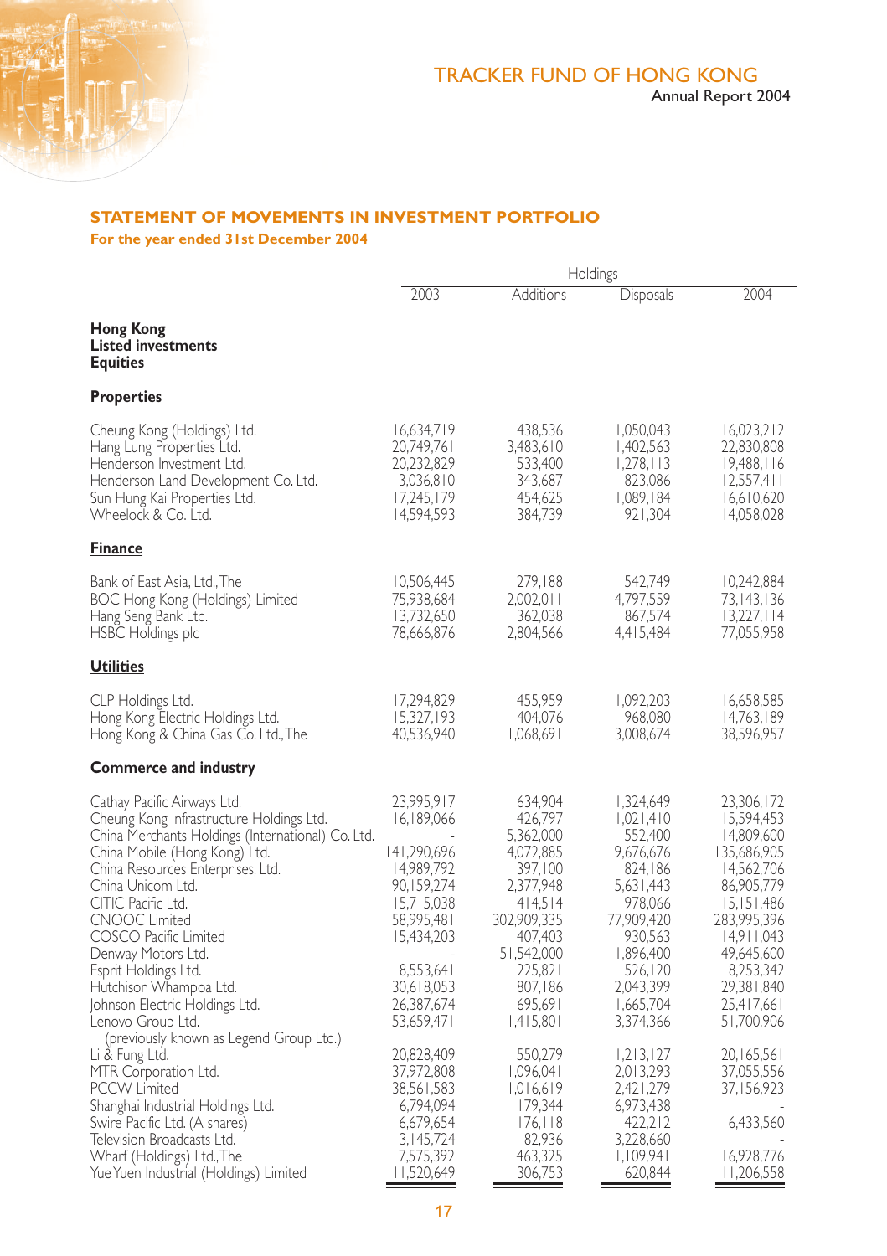

# **STATEMENT OF MOVEMENTS IN INVESTMENT PORTFOLIO**

**For the year ended 31st December 2004**

|                                                                                                                                                                                                                                                                                                                                                                                                                               | Holdings                                                                                                                                                             |                                                                                                                                                                        |                                                                                                                                                                           |                                                                                                                                                                                                   |
|-------------------------------------------------------------------------------------------------------------------------------------------------------------------------------------------------------------------------------------------------------------------------------------------------------------------------------------------------------------------------------------------------------------------------------|----------------------------------------------------------------------------------------------------------------------------------------------------------------------|------------------------------------------------------------------------------------------------------------------------------------------------------------------------|---------------------------------------------------------------------------------------------------------------------------------------------------------------------------|---------------------------------------------------------------------------------------------------------------------------------------------------------------------------------------------------|
|                                                                                                                                                                                                                                                                                                                                                                                                                               | 2003                                                                                                                                                                 | Additions                                                                                                                                                              | <b>Disposals</b>                                                                                                                                                          | 2004                                                                                                                                                                                              |
| Hong Kong<br><b>Listed investments</b><br><b>Equities</b>                                                                                                                                                                                                                                                                                                                                                                     |                                                                                                                                                                      |                                                                                                                                                                        |                                                                                                                                                                           |                                                                                                                                                                                                   |
| <b>Properties</b>                                                                                                                                                                                                                                                                                                                                                                                                             |                                                                                                                                                                      |                                                                                                                                                                        |                                                                                                                                                                           |                                                                                                                                                                                                   |
| Cheung Kong (Holdings) Ltd.<br>Hang Lung Properties Ltd.<br>Henderson Investment Ltd.<br>Henderson Land Development Co. Ltd.<br>Sun Hung Kai Properties Ltd.<br>Wheelock & Co. Ltd.                                                                                                                                                                                                                                           | 16,634,719<br>20,749,761<br>20,232,829<br>13,036,810<br>17,245,179<br>14,594,593                                                                                     | 438,536<br>3,483,610<br>533,400<br>343,687<br>454,625<br>384,739                                                                                                       | 1,050,043<br>1,402,563<br>1,278,113<br>823,086<br>1,089,184<br>921,304                                                                                                    | 16,023,212<br>22,830,808<br>19,488,116<br>12,557,411<br>16,610,620<br>14,058,028                                                                                                                  |
| <b>Finance</b>                                                                                                                                                                                                                                                                                                                                                                                                                |                                                                                                                                                                      |                                                                                                                                                                        |                                                                                                                                                                           |                                                                                                                                                                                                   |
| Bank of East Asia, Ltd., The<br>BOC Hong Kong (Holdings) Limited<br>Hang Seng Bank Ltd.<br>HSBC Holdings plc                                                                                                                                                                                                                                                                                                                  | 10,506,445<br>75,938,684<br>13,732,650<br>78,666,876                                                                                                                 | 279,188<br>2,002,011<br>362,038<br>2,804,566                                                                                                                           | 542,749<br>4,797,559<br>867,574<br>4,415,484                                                                                                                              | 10,242,884<br>73, 143, 136<br>13,227,114<br>77,055,958                                                                                                                                            |
| <b>Utilities</b>                                                                                                                                                                                                                                                                                                                                                                                                              |                                                                                                                                                                      |                                                                                                                                                                        |                                                                                                                                                                           |                                                                                                                                                                                                   |
| CLP Holdings Ltd.<br>Hong Kong Electric Holdings Ltd.<br>Hong Kong & China Gas Co. Ltd.,The                                                                                                                                                                                                                                                                                                                                   | 17,294,829<br>15,327,193<br>40,536,940                                                                                                                               | 455,959<br>404,076<br>1,068,691                                                                                                                                        | 1,092,203<br>968,080<br>3,008,674                                                                                                                                         | 16,658,585<br>14,763,189<br>38,596,957                                                                                                                                                            |
| <b>Commerce and industry</b>                                                                                                                                                                                                                                                                                                                                                                                                  |                                                                                                                                                                      |                                                                                                                                                                        |                                                                                                                                                                           |                                                                                                                                                                                                   |
| Cathay Pacific Airways Ltd.<br>Cheung Kong Infrastructure Holdings Ltd.<br>China Merchants Holdings (International) Co. Ltd.<br>China Mobile (Hong Kong) Ltd.<br>China Resources Enterprises, Ltd.<br>China Unicom Ltd.<br>CITIC Pacific Ltd.<br><b>CNOOC Limited</b><br>COSCO Pacific Limited<br>Denway Motors Ltd.<br>Esprit Holdings Ltd.<br>Hutchison Whampoa Ltd.<br>Johnson Electric Holdings Ltd.<br>Lenovo Group Ltd. | 23,995,917<br>16,189,066<br>141,290,696<br>14,989,792<br>90,159,274<br>15,715,038<br>58,995,481<br>15,434,203<br>8,553,641<br>30,618,053<br>26,387,674<br>53,659,471 | 634,904<br>426,797<br>15,362,000<br>4,072,885<br>397,100<br>2,377,948<br>414.514<br>302,909,335<br>407,403<br>51,542,000<br>225,821<br>807,186<br>695,691<br>1,415,801 | 1,324,649<br>1,021,410<br>552,400<br>9,676,676<br>824,186<br>5,631,443<br>978,066<br>77,909,420<br>930,563<br>1,896,400<br>526,120<br>2,043,399<br>1,665,704<br>3,374,366 | 23,306,172<br>15,594,453<br>14,809,600<br>135,686,905<br>14,562,706<br>86,905,779<br>15,151,486<br>283,995,396<br>14,911,043<br>49,645,600<br>8,253,342<br>29,381,840<br>25,417,661<br>51,700,906 |
| (previously known as Legend Group Ltd.)<br>Li & Fung Ltd.<br>MTR Corporation Ltd.<br>PCCW Limited<br>Shanghai Industrial Holdings Ltd.<br>Swire Pacific Ltd. (A shares)<br>Television Broadcasts Ltd.<br>Whart (Holdings) Ltd., I he<br>Yue Yuen Industrial (Holdings) Limited                                                                                                                                                | 20,828,409<br>37,972,808<br>38,561,583<br>6,794,094<br>6,679,654<br>3, 145, 724<br>17,575,392<br>11,520,649                                                          | 550,279<br>1,096,041<br>1,016,619<br>179,344<br>176, 118<br>82,936<br>463,325<br>306,753                                                                               | 1,213,127<br>2,013,293<br>2,421,279<br>6,973,438<br>422,212<br>3,228,660<br>1,109,941<br>620,844                                                                          | 20,165,561<br>37,055,556<br>37,156,923<br>6,433,560<br>16,928,776<br>11,206,558                                                                                                                   |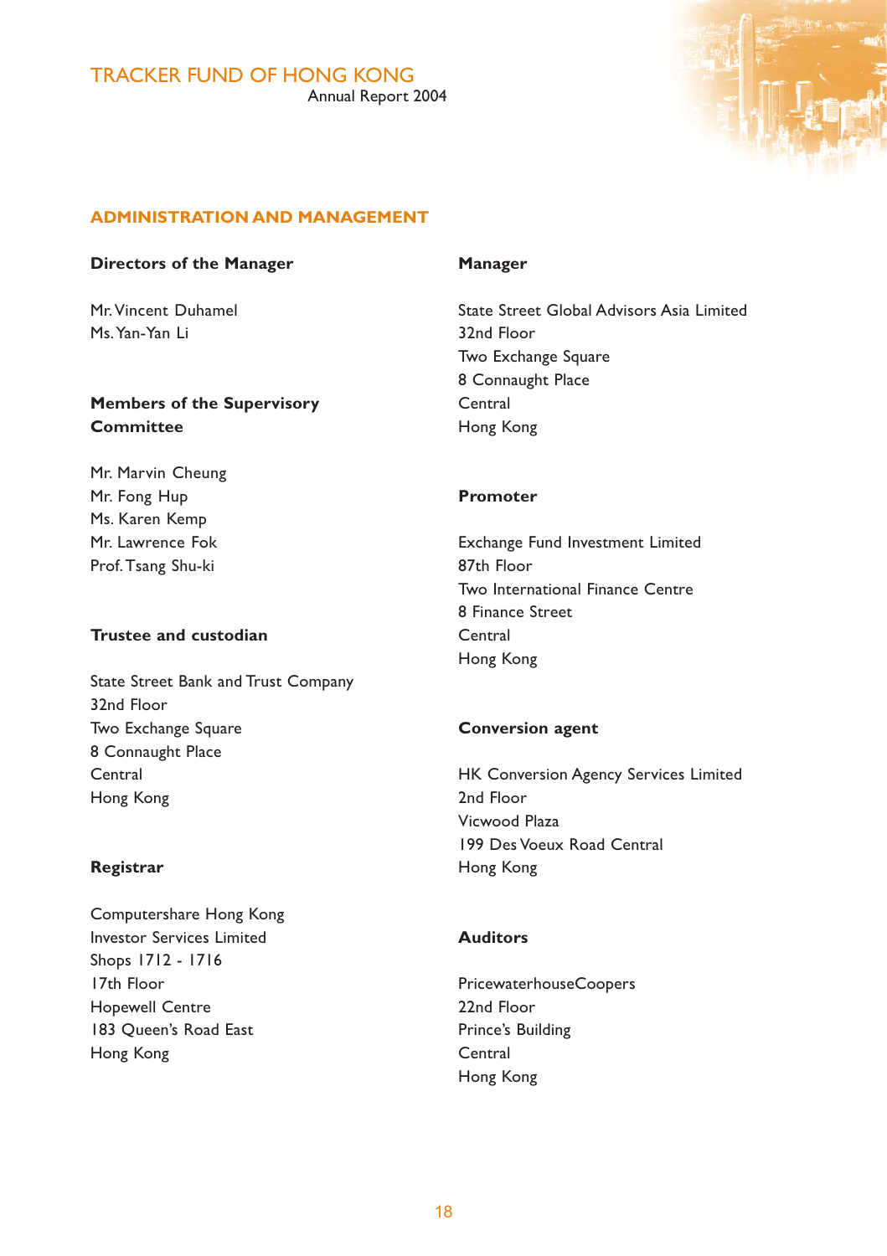

# **ADMINISTRATION AND MANAGEMENT**

### **Directors of the Manager**

Mr. Vincent Duhamel Ms. Yan-Yan Li

# **Members of the Supervisory Committee**

Mr. Marvin Cheung Mr. Fong Hup Ms. Karen Kemp Mr. Lawrence Fok Prof. Tsang Shu-ki

# **Trustee and custodian**

State Street Bank and Trust Company 32nd Floor Two Exchange Square 8 Connaught Place Central Hong Kong

### **Registrar**

Computershare Hong Kong Investor Services Limited Shops 1712 - 1716 17th Floor Hopewell Centre 183 Queen's Road East Hong Kong

### **Manager**

State Street Global Advisors Asia Limited 32nd Floor Two Exchange Square 8 Connaught Place Central Hong Kong

### **Promoter**

Exchange Fund Investment Limited 87th Floor Two International Finance Centre 8 Finance Street **Central** Hong Kong

# **Conversion agent**

HK Conversion Agency Services Limited 2nd Floor Vicwood Plaza 199 Des Voeux Road Central Hong Kong

# **Auditors**

PricewaterhouseCoopers 22nd Floor Prince's Building Central Hong Kong